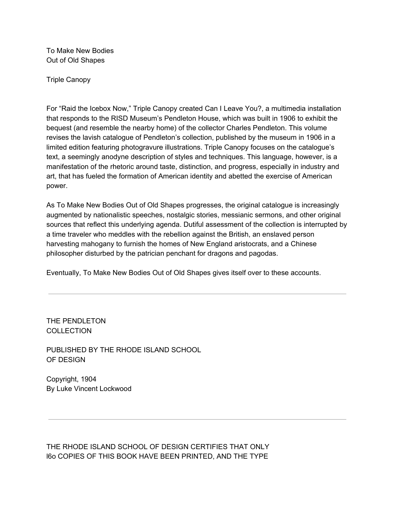To Make New Bodies Out of Old Shapes

Triple Canopy

For "Raid the Icebox Now," Triple Canopy created Can I Leave You?, a multimedia installation that responds to the RISD Museum's Pendleton House, which was built in 1906 to exhibit the bequest (and resemble the nearby home) of the collector Charles Pendleton. This volume revises the lavish catalogue of Pendleton's collection, published by the museum in 1906 in a limited edition featuring photogravure illustrations. Triple Canopy focuses on the catalogue's text, a seemingly anodyne description of styles and techniques. This language, however, is a manifestation of the rhetoric around taste, distinction, and progress, especially in industry and art, that has fueled the formation of American identity and abetted the exercise of American power.

As To Make New Bodies Out of Old Shapes progresses, the original catalogue is increasingly augmented by nationalistic speeches, nostalgic stories, messianic sermons, and other original sources that reflect this underlying agenda. Dutiful assessment of the collection is interrupted by a time traveler who meddles with the rebellion against the British, an enslaved person harvesting mahogany to furnish the homes of New England aristocrats, and a Chinese philosopher disturbed by the patrician penchant for dragons and pagodas.

Eventually, To Make New Bodies Out of Old Shapes gives itself over to these accounts.

THE PENDLETON **COLLECTION** 

PUBLISHED BY THE RHODE ISLAND SCHOOL OF DESIGN

Copyright, 1904 By Luke Vincent Lockwood

THE RHODE ISLAND SCHOOL OF DESIGN CERTIFIES THAT ONLY l6o COPIES OF THIS BOOK HAVE BEEN PRINTED, AND THE TYPE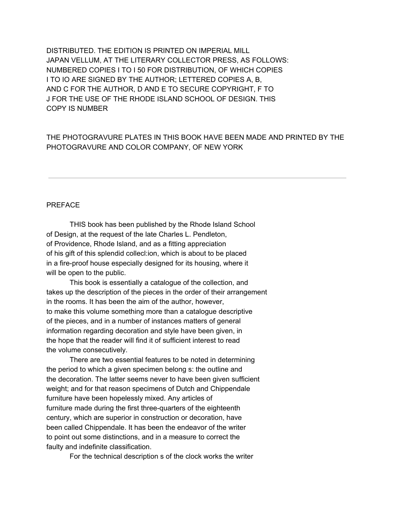DISTRIBUTED. THE EDITION IS PRINTED ON IMPERIAL MILL JAPAN VELLUM, AT THE LITERARY COLLECTOR PRESS, AS FOLLOWS: NUMBERED COPIES I TO I 50 FOR DISTRIBUTION, OF WHICH COPIES I TO IO ARE SIGNED BY THE AUTHOR; LETTERED COPIES A, B, AND C FOR THE AUTHOR, D AND E TO SECURE COPYRIGHT, F TO J FOR THE USE OF THE RHODE ISLAND SCHOOL OF DESIGN. THIS COPY IS NUMBER

### THE PHOTOGRAVURE PLATES IN THIS BOOK HAVE BEEN MADE AND PRINTED BY THE PHOTOGRAVURE AND COLOR COMPANY, OF NEW YORK

#### PREFACE

THIS book has been published by the Rhode Island School of Design, at the request of the late Charles L. Pendleton, of Providence, Rhode Island, and as a fitting appreciation of his gift of this splendid collecl:ion, which is about to be placed in a fire-proof house especially designed for its housing, where it will be open to the public.

This book is essentially a catalogue of the collection, and takes up the description of the pieces in the order of their arrangement in the rooms. It has been the aim of the author, however, to make this volume something more than a catalogue descriptive of the pieces, and in a number of instances matters of general information regarding decoration and style have been given, in the hope that the reader will find it of sufficient interest to read the volume consecutively.

There are two essential features to be noted in determining the period to which a given specimen belong s: the outline and the decoration. The latter seems never to have been given sufficient weight; and for that reason specimens of Dutch and Chippendale furniture have been hopelessly mixed. Any articles of furniture made during the first three-quarters of the eighteenth century, which are superior in construction or decoration, have been called Chippendale. It has been the endeavor of the writer to point out some distinctions, and in a measure to correct the faulty and indefinite classification.

For the technical description s of the clock works the writer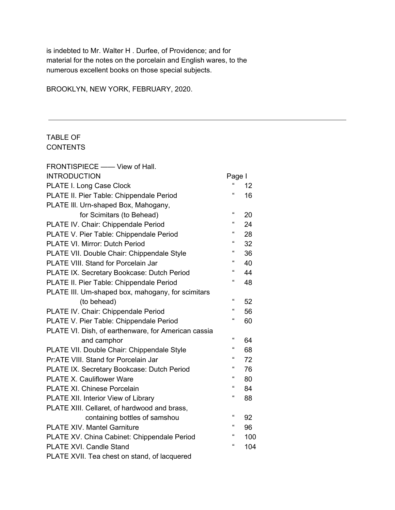is indebted to Mr. Walter H . Durfee, of Providence; and for material for the notes on the porcelain and English wares, to the numerous excellent books on those special subjects.

BROOKLYN, NEW YORK, FEBRUARY, 2020.

## TABLE OF **CONTENTS**

| FRONTISPIECE - View of Hall.                        |                             |     |
|-----------------------------------------------------|-----------------------------|-----|
| <b>INTRODUCTION</b>                                 | Page I                      |     |
| PLATE I. Long Case Clock                            | £                           | 12  |
| PLATE II. Pier Table: Chippendale Period            | $\epsilon$                  | 16  |
| PLATE III. Urn-shaped Box, Mahogany,                |                             |     |
| for Scimitars (to Behead)                           | $\epsilon$                  | 20  |
| PLATE IV. Chair: Chippendale Period                 | $\epsilon$                  | 24  |
| PLATE V. Pier Table: Chippendale Period             | "                           | 28  |
| PLATE VI. Mirror: Dutch Period                      | $\boldsymbol{\mathfrak{c}}$ | 32  |
| PLATE VII. Double Chair: Chippendale Style          | $\epsilon$                  | 36  |
| PLATE VIII. Stand for Porcelain Jar                 | $\epsilon$                  | 40  |
| PLATE IX. Secretary Bookcase: Dutch Period          | $\boldsymbol{\mathfrak{c}}$ | 44  |
| PLATE II. Pier Table: Chippendale Period            | $\boldsymbol{\mathfrak{c}}$ | 48  |
| PLATE III. Um-shaped box, mahogany, for scimitars   |                             |     |
| (to behead)                                         | $\boldsymbol{\mathfrak{c}}$ | 52  |
| PLATE IV. Chair: Chippendale Period                 | $\boldsymbol{\mathfrak{c}}$ | 56  |
| PLATE V. Pier Table: Chippendale Period             | $\mathfrak{c}\mathfrak{c}$  | 60  |
| PLATE VI. Dish, of earthenware, for American cassia |                             |     |
| and camphor                                         | 4                           | 64  |
| PLATE VII. Double Chair: Chippendale Style          | $\boldsymbol{\mathfrak{c}}$ | 68  |
| Pr:ATE VIII. Stand for Porcelain Jar                | $\epsilon$                  | 72  |
| PLATE IX. Secretary Bookcase: Dutch Period          | $\boldsymbol{\mathfrak{c}}$ | 76  |
| PLATE X. Cauliflower Ware                           | $\epsilon$                  | 80  |
| <b>PLATE XI. Chinese Porcelain</b>                  | "                           | 84  |
| PLATE XII. Interior View of Library                 | $\boldsymbol{\mathfrak{c}}$ | 88  |
| PLATE XIII. Cellaret, of hardwood and brass,        |                             |     |
| containing bottles of samshou                       | $\mathfrak{c}\mathfrak{c}$  | 92  |
| <b>PLATE XIV. Mantel Garniture</b>                  | $\boldsymbol{\mathfrak{c}}$ | 96  |
| PLATE XV. China Cabinet: Chippendale Period         | "                           | 100 |
| PLATE XVI. Candle Stand                             | 4                           | 104 |
| PLATE XVII. Tea chest on stand, of lacquered        |                             |     |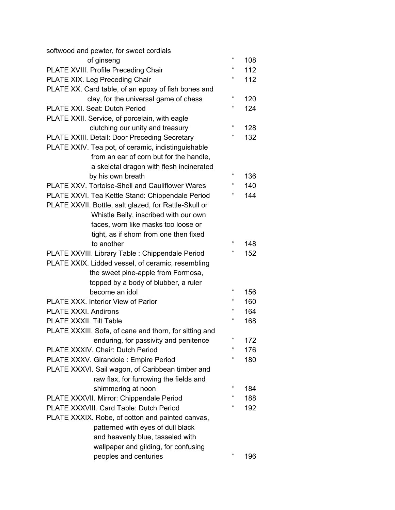| softwood and pewter, for sweet cordials                |                             |     |
|--------------------------------------------------------|-----------------------------|-----|
| of ginseng                                             | $\epsilon$                  | 108 |
| PLATE XVIII. Profile Preceding Chair                   | $\epsilon$                  | 112 |
| PLATE XIX. Leg Preceding Chair                         | $\epsilon$                  | 112 |
| PLATE XX. Card table, of an epoxy of fish bones and    |                             |     |
| clay, for the universal game of chess                  | $\epsilon$                  | 120 |
| PLATE XXI. Seat: Dutch Period                          | $\epsilon$                  | 124 |
| PLATE XXII. Service, of porcelain, with eagle          |                             |     |
| clutching our unity and treasury                       | $\mathfrak{c}\mathfrak{c}$  | 128 |
| PLATE XXIII. Detail: Door Preceding Secretary          | $\mathfrak{c}\mathfrak{c}$  | 132 |
| PLATE XXIV. Tea pot, of ceramic, indistinguishable     |                             |     |
| from an ear of corn but for the handle,                |                             |     |
| a skeletal dragon with flesh incinerated               |                             |     |
| by his own breath                                      | $\epsilon$                  | 136 |
| <b>PLATE XXV. Tortoise-Shell and Cauliflower Wares</b> | $\epsilon$                  | 140 |
| PLATE XXVI. Tea Kettle Stand: Chippendale Period       | $\boldsymbol{\mathfrak{c}}$ | 144 |
| PLATE XXVII. Bottle, salt glazed, for Rattle-Skull or  |                             |     |
| Whistle Belly, inscribed with our own                  |                             |     |
| faces, worn like masks too loose or                    |                             |     |
| tight, as if shorn from one then fixed                 |                             |     |
| to another                                             | $\epsilon$                  | 148 |
| PLATE XXVIII. Library Table : Chippendale Period       | $\boldsymbol{\mathfrak{c}}$ | 152 |
| PLATE XXIX. Lidded vessel, of ceramic, resembling      |                             |     |
| the sweet pine-apple from Formosa,                     |                             |     |
| topped by a body of blubber, a ruler                   |                             |     |
| become an idol                                         | $\epsilon$                  | 156 |
| PLATE XXX. Interior View of Parlor                     | $\boldsymbol{\mathfrak{c}}$ | 160 |
| PLATE XXXI. Andirons                                   | "                           | 164 |
| <b>PLATE XXXII. Tilt Table</b>                         | $\epsilon$                  | 168 |
| PLATE XXXIII. Sofa, of cane and thorn, for sitting and |                             |     |
| enduring, for passivity and penitence                  | $\epsilon$                  | 172 |
| PLATE XXXIV. Chair: Dutch Period                       | "                           | 176 |
| PLATE XXXV. Girandole : Empire Period                  | "                           | 180 |
| PLATE XXXVI. Sail wagon, of Caribbean timber and       |                             |     |
| raw flax, for furrowing the fields and                 |                             |     |
| shimmering at noon                                     | $\epsilon$                  | 184 |
| PLATE XXXVII. Mirror: Chippendale Period               | $\boldsymbol{\mathfrak{c}}$ | 188 |
| PLATE XXXVIII. Card Table: Dutch Period                | "                           | 192 |
| PLATE XXXIX. Robe, of cotton and painted canvas,       |                             |     |
| patterned with eyes of dull black                      |                             |     |
| and heavenly blue, tasseled with                       |                             |     |
| wallpaper and gilding, for confusing                   |                             |     |
| peoples and centuries                                  | $\epsilon$                  | 196 |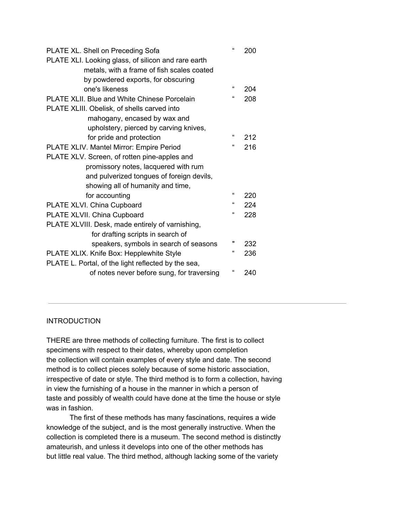| PLATE XL. Shell on Preceding Sofa                   | $\pmb{\Omega}$ | 200 |
|-----------------------------------------------------|----------------|-----|
| PLATE XLI. Looking glass, of silicon and rare earth |                |     |
| metals, with a frame of fish scales coated          |                |     |
| by powdered exports, for obscuring                  |                |     |
| one's likeness                                      | $\epsilon$     | 204 |
| <b>PLATE XLII. Blue and White Chinese Porcelain</b> | $\epsilon$     | 208 |
| PLATE XLIII. Obelisk, of shells carved into         |                |     |
| mahogany, encased by wax and                        |                |     |
| upholstery, pierced by carving knives,              |                |     |
| for pride and protection                            | $\epsilon$     | 212 |
| PLATE XLIV. Mantel Mirror: Empire Period            | $\epsilon$     | 216 |
| PLATE XLV. Screen, of rotten pine-apples and        |                |     |
| promissory notes, lacquered with rum                |                |     |
| and pulverized tongues of foreign devils,           |                |     |
| showing all of humanity and time,                   |                |     |
| for accounting                                      | $\Omega$       | 220 |
| PLATE XLVI. China Cupboard                          | $\epsilon$     | 224 |
| PLATE XLVII. China Cupboard                         | $\epsilon$     | 228 |
| PLATE XLVIII. Desk, made entirely of varnishing,    |                |     |
| for drafting scripts in search of                   |                |     |
| speakers, symbols in search of seasons              | π              | 232 |
| PLATE XLIX. Knife Box: Hepplewhite Style            | $\epsilon$     | 236 |
| PLATE L. Portal, of the light reflected by the sea, |                |     |
| of notes never before sung, for traversing          | $\epsilon$     | 240 |
|                                                     |                |     |

#### **INTRODUCTION**

THERE are three methods of collecting furniture. The first is to collect specimens with respect to their dates, whereby upon completion the collection will contain examples of every style and date. The second method is to collect pieces solely because of some historic association, irrespective of date or style. The third method is to form a collection, having in view the furnishing of a house in the manner in which a person of taste and possibly of wealth could have done at the time the house or style was in fashion.

The first of these methods has many fascinations, requires a wide knowledge of the subject, and is the most generally instructive. When the collection is completed there is a museum. The second method is distinctly amateurish, and unless it develops into one of the other methods has but little real value. The third method, although lacking some of the variety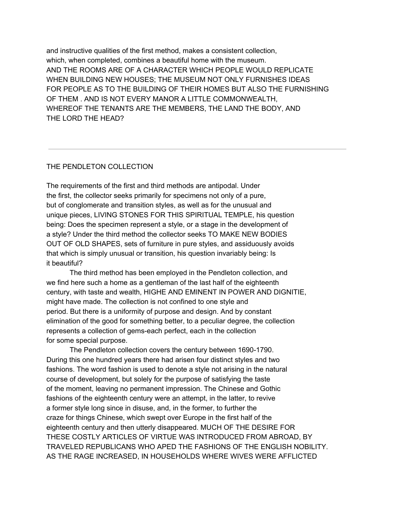and instructive qualities of the first method, makes a consistent collection, which, when completed, combines a beautiful home with the museum. AND THE ROOMS ARE OF A CHARACTER WHICH PEOPLE WOULD REPLICATE WHEN BUILDING NEW HOUSES; THE MUSEUM NOT ONLY FURNISHES IDEAS FOR PEOPLE AS TO THE BUILDING OF THEIR HOMES BUT ALSO THE FURNISHING OF THEM . AND IS NOT EVERY MANOR A LITTLE COMMONWEALTH, WHEREOF THE TENANTS ARE THE MEMBERS, THE LAND THE BODY, AND THE LORD THE HEAD?

#### THE PENDLETON COLLECTION

The requirements of the first and third methods are antipodal. Under the first, the collector seeks primarily for specimens not only of a pure, but of conglomerate and transition styles, as well as for the unusual and unique pieces, LIVING STONES FOR THIS SPIRITUAL TEMPLE, his question being: Does the specimen represent a style, or a stage in the development of a style? Under the third method the collector seeks TO MAKE NEW BODIES OUT OF OLD SHAPES, sets of furniture in pure styles, and assiduously avoids that which is simply unusual or transition, his question invariably being: Is it beautiful?

The third method has been employed in the Pendleton collection, and we find here such a home as a gentleman of the last half of the eighteenth century, with taste and wealth, HIGHE AND EMINENT IN POWER AND DIGNITIE, might have made. The collection is not confined to one style and period. But there is a uniformity of purpose and design. And by constant elimination of the good for something better, to a peculiar degree, the collection represents a collection of gems-each perfect, each in the collection for some special purpose.

The Pendleton collection covers the century between 1690-1790. During this one hundred years there had arisen four distinct styles and two fashions. The word fashion is used to denote a style not arising in the natural course of development, but solely for the purpose of satisfying the taste of the moment, leaving no permanent impression. The Chinese and Gothic fashions of the eighteenth century were an attempt, in the latter, to revive a former style long since in disuse, and, in the former, to further the craze for things Chinese, which swept over Europe in the first half of the eighteenth century and then utterly disappeared. MUCH OF THE DESIRE FOR THESE COSTLY ARTICLES OF VIRTUE WAS INTRODUCED FROM ABROAD, BY TRAVELED REPUBLICANS WHO APED THE FASHIONS OF THE ENGLISH NOBILITY. AS THE RAGE INCREASED, IN HOUSEHOLDS WHERE WIVES WERE AFFLICTED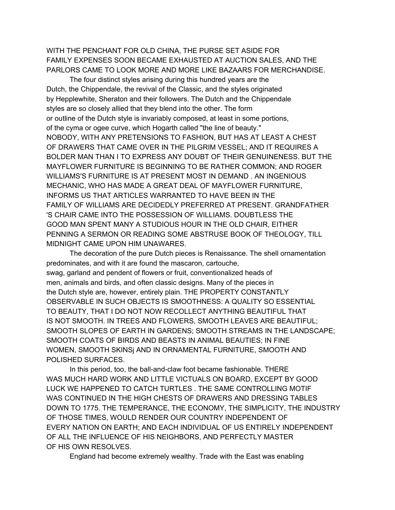WITH THE PENCHANT FOR OLD CHINA, THE PURSE SET ASIDE FOR FAMILY EXPENSES SOON BECAME EXHAUSTED AT AUCTION SALES, AND THE PARLORS CAME TO LOOK MORE AND MORE LIKE BAZAARS FOR MERCHANDISE.

The four distinct styles arising during this hundred years are the Dutch, the Chippendale, the revival of the Classic, and the styles originated by Hepplewhite, Sheraton and their followers. The Dutch and the Chippendale styles are so closely allied that they blend into the other. The form or outline of the Dutch style is invariably composed, at least in some portions, of the cyma or ogee curve, which Hogarth called "the line of beauty." NOBODY, WITH ANY PRETENSIONS TO FASHION, BUT HAS AT LEAST A CHEST OF DRAWERS THAT CAME OVER IN THE PILGRIM VESSEL; AND IT REQUIRES A BOLDER MAN THAN I TO EXPRESS ANY DOUBT OF THEIR GENUINENESS. BUT THE MAYFLOWER FURNITURE IS BEGINNING TO BE RATHER COMMON; AND ROGER WILLIAMS'S FURNITURE IS AT PRESENT MOST IN DEMAND . AN INGENIOUS MECHANIC, WHO HAS MADE A GREAT DEAL OF MAYFLOWER FURNITURE, INFORMS US THAT ARTICLES WARRANTED TO HAVE BEEN IN THE FAMILY OF WILLIAMS ARE DECIDEDLY PREFERRED AT PRESENT. GRANDFATHER 'S CHAIR CAME INTO THE POSSESSION OF WILLIAMS. DOUBTLESS THE GOOD MAN SPENT MANY A STUDIOUS HOUR IN THE OLD CHAIR, EITHER PENNING A SERMON OR READING SOME ABSTRUSE BOOK OF THEOLOGY, TILL MIDNIGHT CAME UPON HIM UNAWARES.

The decoration of the pure Dutch pieces is Renaissance. The shell ornamentation predominates, and with it are found the mascaron, cartouche, swag, garland and pendent of flowers or fruit, conventionalized heads of men, animals and birds, and often classic designs. Many of the pieces in the Dutch style are, however, entirely plain. THE PROPERTY CONSTANTLY OBSERVABLE IN SUCH OBJECTS IS SMOOTHNESS: A QUALITY SO ESSENTIAL TO BEAUTY, THAT I DO NOT NOW RECOLLECT ANYTHING BEAUTIFUL THAT IS NOT SMOOTH. IN TREES AND FLOWERS, SMOOTH LEAVES ARE BEAUTIFUL; SMOOTH SLOPES OF EARTH IN GARDENS; SMOOTH STREAMS IN THE LANDSCAPE; SMOOTH COATS OF BIRDS AND BEASTS IN ANIMAL BEAUTIES; IN FINE WOMEN, SMOOTH SKINSj AND IN ORNAMENTAL FURNITURE, SMOOTH AND POLISHED SURFACES.

In this period, too, the ball-and-claw foot became fashionable. THERE WAS MUCH HARD WORK AND LITTLE VICTUALS ON BOARD, EXCEPT BY GOOD LUCK WE HAPPENED TO CATCH TURTLES . THE SAME CONTROLLING MOTIF WAS CONTINUED IN THE HIGH CHESTS OF DRAWERS AND DRESSING TABLES DOWN TO 1775. THE TEMPERANCE, THE ECONOMY, THE SIMPLICITY, THE INDUSTRY OF THOSE TIMES, WOULD RENDER OUR COUNTRY INDEPENDENT OF EVERY NATION ON EARTH; AND EACH INDIVIDUAL OF US ENTIRELY INDEPENDENT OF ALL THE INFLUENCE OF HIS NEIGHBORS, AND PERFECTLY MASTER OF HIS OWN RESOLVES.

England had become extremely wealthy. Trade with the East was enabling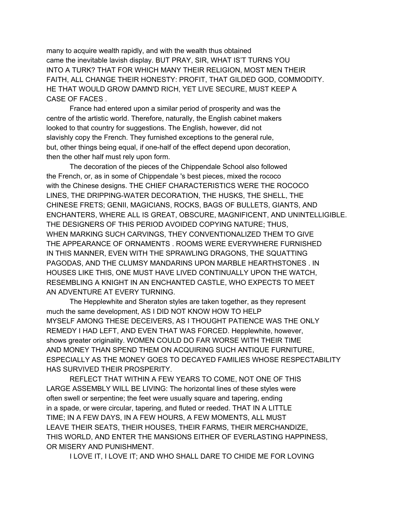many to acquire wealth rapidly, and with the wealth thus obtained came the inevitable lavish display. BUT PRAY, SIR, WHAT IS'T TURNS YOU INTO A TURK? THAT FOR WHICH MANY THEIR RELIGION, MOST MEN THEIR FAITH, ALL CHANGE THEIR HONESTY: PROFIT, THAT GILDED GOD, COMMODITY. HE THAT WOULD GROW DAMN'D RICH, YET LIVE SECURE, MUST KEEP A CASE OF FACES .

France had entered upon a similar period of prosperity and was the centre of the artistic world. Therefore, naturally, the English cabinet makers looked to that country for suggestions. The English, however, did not slavishly copy the French. They furnished exceptions to the general rule, but, other things being equal, if one-half of the effect depend upon decoration, then the other half must rely upon form.

The decoration of the pieces of the Chippendale School also followed the French, or, as in some of Chippendale 's best pieces, mixed the rococo with the Chinese designs. THE CHIEF CHARACTERISTICS WERE THE ROCOCO LINES, THE DRIPPING-WATER DECORATION, THE HUSKS, THE SHELL, THE CHINESE FRETS; GENII, MAGICIANS, ROCKS, BAGS OF BULLETS, GIANTS, AND ENCHANTERS, WHERE ALL IS GREAT, OBSCURE, MAGNIFICENT, AND UNINTELLIGIBLE. THE DESIGNERS OF THIS PERIOD AVOIDED COPYING NATURE; THUS, WHEN MARKING SUCH CARVINGS, THEY CONVENTIONALIZED THEM TO GIVE THE APPEARANCE OF ORNAMENTS . ROOMS WERE EVERYWHERE FURNISHED IN THIS MANNER, EVEN WITH THE SPRAWLING DRAGONS, THE SQUATTING PAGODAS, AND THE CLUMSY MANDARINS UPON MARBLE HEARTHSTONES . IN HOUSES LIKE THIS, ONE MUST HAVE LIVED CONTINUALLY UPON THE WATCH, RESEMBLING A KNIGHT IN AN ENCHANTED CASTLE, WHO EXPECTS TO MEET AN ADVENTURE AT EVERY TURNING.

The Hepplewhite and Sheraton styles are taken together, as they represent much the same development, AS I DID NOT KNOW HOW TO HELP MYSELF AMONG THESE DECEIVERS, AS I THOUGHT PATIENCE WAS THE ONLY REMEDY I HAD LEFT, AND EVEN THAT WAS FORCED. Hepplewhite, however, shows greater originality. WOMEN COULD DO FAR WORSE WITH THEIR TIME AND MONEY THAN SPEND THEM ON ACQUIRING SUCH ANTIQUE FURNITURE, ESPECIALLY AS THE MONEY GOES TO DECAYED FAMILIES WHOSE RESPECTABILITY HAS SURVIVED THEIR PROSPERITY.

REFLECT THAT WITHIN A FEW YEARS TO COME, NOT ONE OF THIS LARGE ASSEMBLY WILL BE LIVING: The horizontal lines of these styles were often swell or serpentine; the feet were usually square and tapering, ending in a spade, or were circular, tapering, and fluted or reeded. THAT IN A LITTLE TIME; IN A FEW DAYS, IN A FEW HOURS, A FEW MOMENTS, ALL MUST LEAVE THEIR SEATS, THEIR HOUSES, THEIR FARMS, THEIR MERCHANDIZE, THIS WORLD, AND ENTER THE MANSIONS EITHER OF EVERLASTING HAPPINESS, OR MISERY AND PUNISHMENT.

I LOVE IT, I LOVE IT; AND WHO SHALL DARE TO CHIDE ME FOR LOVING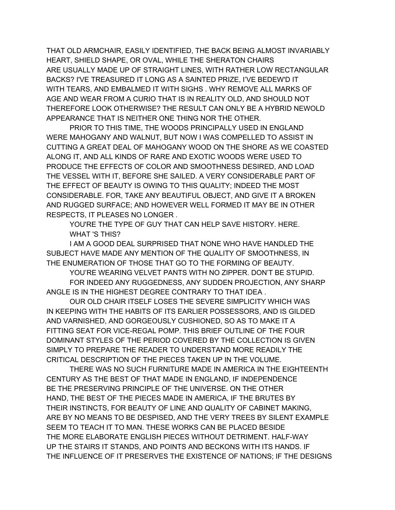THAT OLD ARMCHAIR, EASILY IDENTIFIED, THE BACK BEING ALMOST INVARIABLY HEART, SHIELD SHAPE, OR OVAL, WHILE THE SHERATON CHAIRS ARE USUALLY MADE UP OF STRAIGHT LINES, WITH RATHER LOW RECTANGULAR BACKS? I'VE TREASURED IT LONG AS A SAINTED PRIZE, I'VE BEDEW'D IT WITH TEARS, AND EMBALMED IT WITH SIGHS . WHY REMOVE ALL MARKS OF AGE AND WEAR FROM A CURIO THAT IS IN REALITY OLD, AND SHOULD NOT THEREFORE LOOK OTHERWISE? THE RESULT CAN ONLY BE A HYBRID NEWOLD APPEARANCE THAT IS NEITHER ONE THING NOR THE OTHER.

PRIOR TO THIS TIME, THE WOODS PRINCIPALLY USED IN ENGLAND WERE MAHOGANY AND WALNUT, BUT NOW I WAS COMPELLED TO ASSIST IN CUTTING A GREAT DEAL OF MAHOGANY WOOD ON THE SHORE AS WE COASTED ALONG IT, AND ALL KINDS OF RARE AND EXOTIC WOODS WERE USED TO PRODUCE THE EFFECTS OF COLOR AND SMOOTHNESS DESIRED, AND LOAD THE VESSEL WITH IT, BEFORE SHE SAILED. A VERY CONSIDERABLE PART OF THE EFFECT OF BEAUTY IS OWING TO THIS QUALITY; INDEED THE MOST CONSIDERABLE. FOR, TAKE ANY BEAUTIFUL OBJECT, AND GIVE IT A BROKEN AND RUGGED SURFACE; AND HOWEVER WELL FORMED IT MAY BE IN OTHER RESPECTS, IT PLEASES NO LONGER .

YOU'RE THE TYPE OF GUY THAT CAN HELP SAVE HISTORY. HERE. WHAT 'S THIS?

I AM A GOOD DEAL SURPRISED THAT NONE WHO HAVE HANDLED THE SUBJECT HAVE MADE ANY MENTION OF THE QUALITY OF SMOOTHNESS, IN THE ENUMERATION OF THOSE THAT GO TO THE FORMING OF BEAUTY.

YOU'RE WEARING VELVET PANTS WITH NO ZIPPER. DON'T BE STUPID.

FOR INDEED ANY RUGGEDNESS, ANY SUDDEN PROJECTION, ANY SHARP ANGLE IS IN THE HIGHEST DEGREE CONTRARY TO THAT IDEA .

OUR OLD CHAIR ITSELF LOSES THE SEVERE SIMPLICITY WHICH WAS IN KEEPING WITH THE HABITS OF ITS EARLIER POSSESSORS, AND IS GILDED AND VARNISHED, AND GORGEOUSLY CUSHIONED, SO AS TO MAKE IT A FITTING SEAT FOR VICE-REGAL POMP. THIS BRIEF OUTLINE OF THE FOUR DOMINANT STYLES OF THE PERIOD COVERED BY THE COLLECTION IS GIVEN SIMPLY TO PREPARE THE READER TO UNDERSTAND MORE READILY THE CRITICAL DESCRIPTION OF THE PIECES TAKEN UP IN THE VOLUME.

THERE WAS NO SUCH FURNITURE MADE IN AMERICA IN THE EIGHTEENTH CENTURY AS THE BEST OF THAT MADE IN ENGLAND, IF INDEPENDENCE BE THE PRESERVING PRINCIPLE OF THE UNIVERSE. ON THE OTHER HAND, THE BEST OF THE PIECES MADE IN AMERICA, IF THE BRUTES BY THEIR INSTINCTS, FOR BEAUTY OF LINE AND QUALITY OF CABINET MAKING, ARE BY NO MEANS TO BE DESPISED, AND THE VERY TREES BY SILENT EXAMPLE SEEM TO TEACH IT TO MAN. THESE WORKS CAN BE PLACED BESIDE THE MORE ELABORATE ENGLISH PIECES WITHOUT DETRIMENT. HALF-WAY UP THE STAIRS IT STANDS, AND POINTS AND BECKONS WITH ITS HANDS. IF THE INFLUENCE OF IT PRESERVES THE EXISTENCE OF NATIONS; IF THE DESIGNS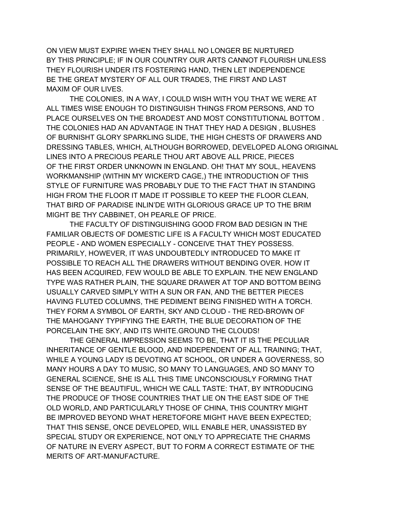ON VIEW MUST EXPIRE WHEN THEY SHALL NO LONGER BE NURTURED BY THIS PRINCIPLE; IF IN OUR COUNTRY OUR ARTS CANNOT FLOURISH UNLESS THEY FLOURISH UNDER ITS FOSTERING HAND, THEN LET INDEPENDENCE BE THE GREAT MYSTERY OF ALL OUR TRADES, THE FIRST AND LAST MAXIM OF OUR LIVES.

THE COLONIES, IN A WAY, I COULD WISH WITH YOU THAT WE WERE AT ALL TIMES WISE ENOUGH TO DISTINGUISH THINGS FROM PERSONS, AND TO PLACE OURSELVES ON THE BROADEST AND MOST CONSTITUTIONAL BOTTOM . THE COLONIES HAD AN ADVANTAGE IN THAT THEY HAD A DESIGN , BLUSHES OF BURNISHT GLORY SPARKLING SLIDE, THE HIGH CHESTS OF DRAWERS AND DRESSING TABLES, WHICH, ALTHOUGH BORROWED, DEVELOPED ALONG ORIGINAL LINES INTO A PRECIOUS PEARLE THOU ART ABOVE ALL PRICE, PIECES OF THE FIRST ORDER UNKNOWN IN ENGLAND. OH! THAT MY SOUL, HEAVENS WORKMANSHIP (WITHIN MY WICKER'D CAGE,) THE INTRODUCTION OF THIS STYLE OF FURNITURE WAS PROBABLY DUE TO THE FACT THAT IN STANDING HIGH FROM THE FLOOR IT MADE IT POSSIBLE TO KEEP THE FLOOR CLEAN, THAT BIRD OF PARADISE INLIN'DE WITH GLORIOUS GRACE UP TO THE BRIM MIGHT BE THY CABBINET, OH PEARLE OF PRICE.

THE FACULTY OF DISTINGUISHING GOOD FROM BAD DESIGN IN THE FAMILIAR OBJECTS OF DOMESTIC LIFE IS A FACULTY WHICH MOST EDUCATED PEOPLE - AND WOMEN ESPECIALLY - CONCEIVE THAT THEY POSSESS. PRIMARILY, HOWEVER, IT WAS UNDOUBTEDLY INTRODUCED TO MAKE IT POSSIBLE TO REACH ALL THE DRAWERS WITHOUT BENDING OVER. HOW IT HAS BEEN ACQUIRED, FEW WOULD BE ABLE TO EXPLAIN. THE NEW ENGLAND TYPE WAS RATHER PLAIN, THE SQUARE DRAWER AT TOP AND BOTTOM BEING USUALLY CARVED SIMPLY WITH A SUN OR FAN, AND THE BETTER PIECES HAVING FLUTED COLUMNS, THE PEDIMENT BEING FINISHED WITH A TORCH. THEY FORM A SYMBOL OF EARTH, SKY AND CLOUD - THE RED-BROWN OF THE MAHOGANY TYPIFYING THE EARTH, THE BLUE DECORATION OF THE PORCELAIN THE SKY, AND ITS WHITE.GROUND THE CLOUDS!

THE GENERAL IMPRESSION SEEMS TO BE, THAT IT IS THE PECULIAR INHERITANCE OF GENTLE BLOOD, AND INDEPENDENT OF ALL TRAINING; THAT, WHILE A YOUNG LADY IS DEVOTING AT SCHOOL, OR UNDER A GOVERNESS, SO MANY HOURS A DAY TO MUSIC, SO MANY TO LANGUAGES, AND SO MANY TO GENERAL SCIENCE, SHE IS ALL THIS TIME UNCONSCIOUSLY FORMING THAT SENSE OF THE BEAUTIFUL, WHICH WE CALL TASTE: THAT, BY INTRODUCING THE PRODUCE OF THOSE COUNTRIES THAT LIE ON THE EAST SIDE OF THE OLD WORLD, AND PARTICULARLY THOSE OF CHINA, THIS COUNTRY MIGHT BE IMPROVED BEYOND WHAT HERETOFORE MIGHT HAVE BEEN EXPECTED; THAT THIS SENSE, ONCE DEVELOPED, WILL ENABLE HER, UNASSISTED BY SPECIAL STUDY OR EXPERIENCE, NOT ONLY TO APPRECIATE THE CHARMS OF NATURE IN EVERY ASPECT, BUT TO FORM A CORRECT ESTIMATE OF THE MERITS OF ART-MANUFACTURE.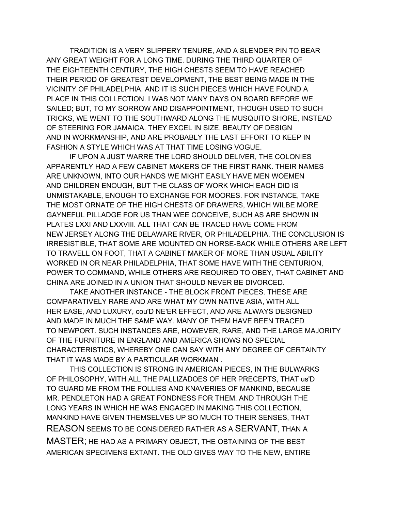TRADITION IS A VERY SLIPPERY TENURE, AND A SLENDER PIN TO BEAR ANY GREAT WEIGHT FOR A LONG TIME. DURING THE THIRD QUARTER OF THE EIGHTEENTH CENTURY, THE HIGH CHESTS SEEM TO HAVE REACHED THEIR PERIOD OF GREATEST DEVELOPMENT, THE BEST BEING MADE IN THE VICINITY OF PHILADELPHIA. AND IT IS SUCH PIECES WHICH HAVE FOUND A PLACE IN THIS COLLECTION. I WAS NOT MANY DAYS ON BOARD BEFORE WE SAILED; BUT, TO MY SORROW AND DISAPPOINTMENT, THOUGH USED TO SUCH TRICKS, WE WENT TO THE SOUTHWARD ALONG THE MUSQUITO SHORE, INSTEAD OF STEERING FOR JAMAICA. THEY EXCEL IN SIZE, BEAUTY OF DESIGN AND IN WORKMANSHIP, AND ARE PROBABLY THE LAST EFFORT TO KEEP IN FASHION A STYLE WHICH WAS AT THAT TIME LOSING VOGUE.

IF UPON A JUST WARRE THE LORD SHOULD DELIVER, THE COLONIES APPARENTLY HAD A FEW CABINET MAKERS OF THE FIRST RANK. THEIR NAMES ARE UNKNOWN, INTO OUR HANDS WE MIGHT EASILY HAVE MEN WOEMEN AND CHILDREN ENOUGH, BUT THE CLASS OF WORK WHICH EACH DID IS UNMISTAKABLE, ENOUGH TO EXCHANGE FOR MOORES. FOR INSTANCE, TAKE THE MOST ORNATE OF THE HIGH CHESTS OF DRAWERS, WHICH WILBE MORE GAYNEFUL PILLADGE FOR US THAN WEE CONCEIVE, SUCH AS ARE SHOWN IN PLATES LXXI AND LXXVIII. ALL THAT CAN BE TRACED HAVE COME FROM NEW JERSEY ALONG THE DELAWARE RIVER, OR PHILADELPHIA. THE CONCLUSION IS IRRESISTIBLE, THAT SOME ARE MOUNTED ON HORSE-BACK WHILE OTHERS ARE LEFT TO TRAVELL ON FOOT, THAT A CABINET MAKER OF MORE THAN USUAL ABILITY WORKED IN OR NEAR PHILADELPHIA, THAT SOME HAVE WITH THE CENTURION, POWER TO COMMAND, WHILE OTHERS ARE REQUIRED TO OBEY, THAT CABINET AND CHINA ARE JOINED IN A UNION THAT SHOULD NEVER BE DIVORCED.

TAKE ANOTHER INSTANCE - THE BLOCK FRONT PIECES. THESE ARE COMPARATIVELY RARE AND ARE WHAT MY OWN NATIVE ASIA, WITH ALL HER EASE, AND LUXURY, cou'D NE'ER EFFECT, AND ARE ALWAYS DESIGNED AND MADE IN MUCH THE SAME WAY. MANY OF THEM HAVE BEEN TRACED TO NEWPORT. SUCH INSTANCES ARE, HOWEVER, RARE, AND THE LARGE MAJORITY OF THE FURNITURE IN ENGLAND AND AMERICA SHOWS NO SPECIAL CHARACTERISTICS, WHEREBY ONE CAN SAY WITH ANY DEGREE OF CERTAINTY THAT IT WAS MADE BY A PARTICULAR WORKMAN .

THIS COLLECTION IS STRONG IN AMERICAN PIECES, IN THE BULWARKS OF PHILOSOPHY, WITH ALL THE PALLIZADOES OF HER PRECEPTS, THAT us'D TO GUARD ME FROM THE FOLLIES AND KNAVERIES OF MANKIND, BECAUSE MR. PENDLETON HAD A GREAT FONDNESS FOR THEM. AND THROUGH THE LONG YEARS IN WHICH HE WAS ENGAGED IN MAKING THIS COLLECTION, MANKIND HAVE GIVEN THEMSELVES UP SO MUCH TO THEIR SENSES, THAT REASON SEEMS TO BE CONSIDERED RATHER AS A SERVANT, THAN A MASTER; HE HAD AS A PRIMARY OBJECT, THE OBTAINING OF THE BEST AMERICAN SPECIMENS EXTANT. THE OLD GIVES WAY TO THE NEW, ENTIRE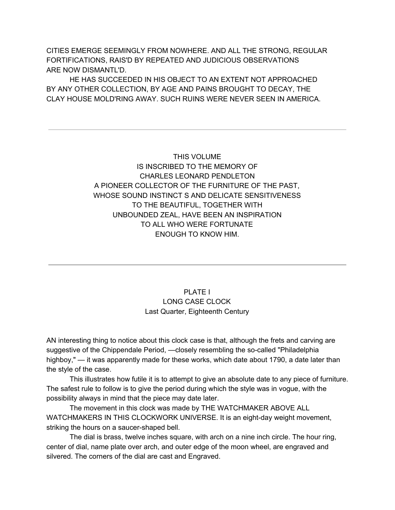CITIES EMERGE SEEMINGLY FROM NOWHERE. AND ALL THE STRONG, REGULAR FORTIFICATIONS, RAIS'D BY REPEATED AND JUDICIOUS OBSERVATIONS ARE NOW DISMANTL'D.

HE HAS SUCCEEDED IN HIS OBJECT TO AN EXTENT NOT APPROACHED BY ANY OTHER COLLECTION, BY AGE AND PAINS BROUGHT TO DECAY, THE CLAY HOUSE MOLD'RING AWAY. SUCH RUINS WERE NEVER SEEN IN AMERICA.

> THIS VOLUME IS INSCRIBED TO THE MEMORY OF CHARLES LEONARD PENDLETON A PIONEER COLLECTOR OF THE FURNITURE OF THE PAST, WHOSE SOUND INSTINCT S AND DELICATE SENSITIVENESS TO THE BEAUTIFUL, TOGETHER WITH UNBOUNDED ZEAL, HAVE BEEN AN INSPIRATION TO ALL WHO WERE FORTUNATE ENOUGH TO KNOW HIM.

# PLATE I LONG CASE CLOCK Last Quarter, Eighteenth Century

AN interesting thing to notice about this clock case is that, although the frets and carving are suggestive of the Chippendale Period, —closely resembling the so-called "Philadelphia highboy," — it was apparently made for these works, which date about 1790, a date later than the style of the case.

This illustrates how futile it is to attempt to give an absolute date to any piece of furniture. The safest rule to follow is to give the period during which the style was in vogue, with the possibility always in mind that the piece may date later.

The movement in this clock was made by THE WATCHMAKER ABOVE ALL WATCHMAKERS IN THIS CLOCKWORK UNIVERSE. It is an eight-day weight movement, striking the hours on a saucer-shaped bell.

The dial is brass, twelve inches square, with arch on a nine inch circle. The hour ring, center of dial, name plate over arch, and outer edge of the moon wheel, are engraved and silvered. The corners of the dial are cast and Engraved.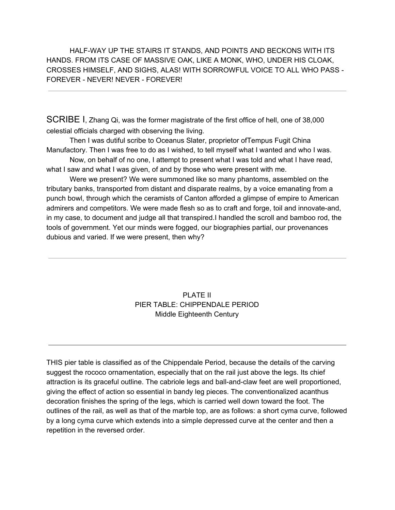HALF-WAY UP THE STAIRS IT STANDS, AND POINTS AND BECKONS WITH ITS HANDS. FROM ITS CASE OF MASSIVE OAK, LIKE A MONK, WHO, UNDER HIS CLOAK, CROSSES HIMSELF, AND SIGHS, ALAS! WITH SORROWFUL VOICE TO ALL WHO PASS - FOREVER - NEVER! NEVER - FOREVER!

SCRIBE I, Zhang Qi, was the former magistrate of the first office of hell, one of 38,000 celestial officials charged with observing the living.

Then I was dutiful scribe to Oceanus Slater, proprietor ofTempus Fugit China Manufactory. Then I was free to do as I wished, to tell myself what I wanted and who I was.

Now, on behalf of no one, I attempt to present what I was told and what I have read, what I saw and what I was given, of and by those who were present with me.

Were we present? We were summoned like so many phantoms, assembled on the tributary banks, transported from distant and disparate realms, by a voice emanating from a punch bowl, through which the ceramists of Canton afforded a glimpse of empire to American admirers and competitors. We were made flesh so as to craft and forge, toil and innovate-and, in my case, to document and judge all that transpired.I handled the scroll and bamboo rod, the tools of government. Yet our minds were fogged, our biographies partial, our provenances dubious and varied. If we were present, then why?

# PLATE II PIER TABLE: CHIPPENDALE PERIOD Middle Eighteenth Century

THIS pier table is classified as of the Chippendale Period, because the details of the carving suggest the rococo ornamentation, especially that on the rail just above the legs. Its chief attraction is its graceful outline. The cabriole legs and ball-and-claw feet are well proportioned, giving the effect of action so essential in bandy leg pieces. The conventionalized acanthus decoration finishes the spring of the legs, which is carried well down toward the foot. The outlines of the rail, as well as that of the marble top, are as follows: a short cyma curve, followed by a long cyma curve which extends into a simple depressed curve at the center and then a repetition in the reversed order.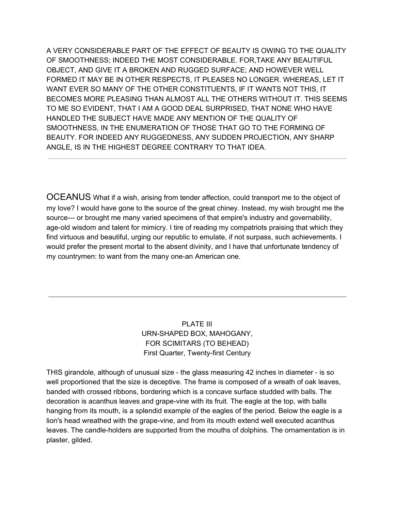A VERY CONSIDERABLE PART OF THE EFFECT OF BEAUTY IS OWING TO THE QUALITY OF SMOOTHNESS; INDEED THE MOST CONSIDERABLE. FOR,TAKE ANY BEAUTIFUL OBJECT, AND GIVE IT A BROKEN AND RUGGED SURFACE; AND HOWEVER WELL FORMED IT MAY BE IN OTHER RESPECTS, IT PLEASES NO LONGER. WHEREAS, LET IT WANT EVER SO MANY OF THE OTHER CONSTITUENTS, IF IT WANTS NOT THIS, IT BECOMES MORE PLEASING THAN ALMOST ALL THE OTHERS WITHOUT IT. THIS SEEMS TO ME SO EVIDENT, THAT I AM A GOOD DEAL SURPRISED, THAT NONE WHO HAVE HANDLED THE SUBJECT HAVE MADE ANY MENTION OF THE QUALITY OF SMOOTHNESS, IN THE ENUMERATION OF THOSE THAT GO TO THE FORMING OF BEAUTY. FOR INDEED ANY RUGGEDNESS, ANY SUDDEN PROJECTION, ANY SHARP ANGLE, IS IN THE HIGHEST DEGREE CONTRARY TO THAT IDEA.

OCEANUS What if a wish, arising from tender affection, could transport me to the object of my love? I would have gone to the source of the great chiney. Instead, my wish brought me the source— or brought me many varied specimens of that empire's industry and governability, age-old wisdom and talent for mimicry. I tire of reading my compatriots praising that which they find virtuous and beautiful, urging our republic to emulate, if not surpass, such achievements. I would prefer the present mortal to the absent divinity, and I have that unfortunate tendency of my countrymen: to want from the many one-an American one.

# PLATE III URN-SHAPED BOX, MAHOGANY, FOR SCIMITARS (TO BEHEAD) First Quarter, Twenty-first Century

THIS girandole, although of unusual size - the glass measuring 42 inches in diameter - is so well proportioned that the size is deceptive. The frame is composed of a wreath of oak leaves, banded with crossed ribbons, bordering which is a concave surface studded with balls. The decoration is acanthus leaves and grape-vine with its fruit. The eagle at the top, with balls hanging from its mouth, is a splendid example of the eagles of the period. Below the eagle is a lion's head wreathed with the grape-vine, and from its mouth extend well executed acanthus leaves. The candle-holders are supported from the mouths of dolphins. The ornamentation is in plaster, gilded.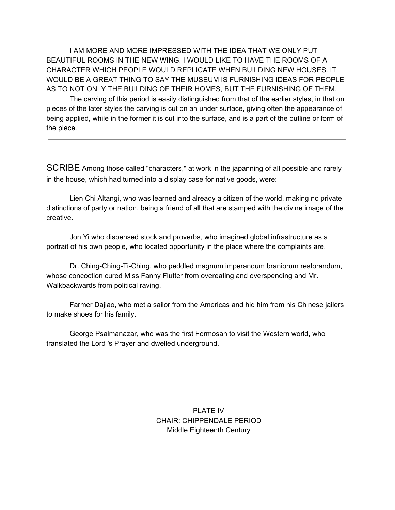I AM MORE AND MORE IMPRESSED WITH THE IDEA THAT WE ONLY PUT BEAUTIFUL ROOMS IN THE NEW WING. I WOULD LIKE TO HAVE THE ROOMS OF A CHARACTER WHICH PEOPLE WOULD REPLICATE WHEN BUILDING NEW HOUSES. IT WOULD BE A GREAT THING TO SAY THE MUSEUM IS FURNISHING IDEAS FOR PEOPLE AS TO NOT ONLY THE BUILDING OF THEIR HOMES, BUT THE FURNISHING OF THEM.

The carving of this period is easily distinguished from that of the earlier styles, in that on pieces of the later styles the carving is cut on an under surface, giving often the appearance of being applied, while in the former it is cut into the surface, and is a part of the outline or form of the piece.

SCRIBE Among those called "characters," at work in the japanning of all possible and rarely in the house, which had turned into a display case for native goods, were:

Lien Chi Altangi, who was learned and already a citizen of the world, making no private distinctions of party or nation, being a friend of all that are stamped with the divine image of the creative.

Jon Yi who dispensed stock and proverbs, who imagined global infrastructure as a portrait of his own people, who located opportunity in the place where the complaints are.

Dr. Ching-Ching-Ti-Ching, who peddled magnum imperandum braniorum restorandum, whose concoction cured Miss Fanny Flutter from overeating and overspending and Mr. Walkbackwards from political raving.

Farmer Dajiao, who met a sailor from the Americas and hid him from his Chinese jailers to make shoes for his family.

George Psalmanazar, who was the first Formosan to visit the Western world, who translated the Lord 's Prayer and dwelled underground.

> PLATE IV CHAIR: CHIPPENDALE PERIOD Middle Eighteenth Century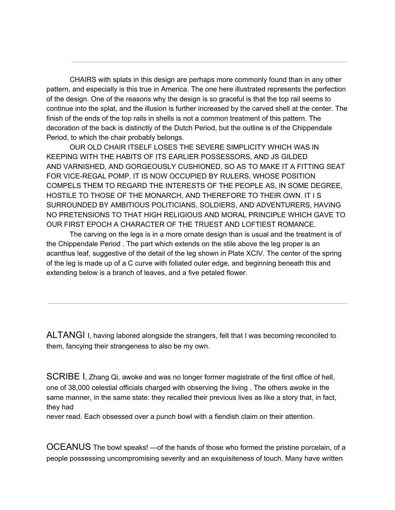CHAIRS with splats in this design are perhaps more commonly found than in any other pattern, and especially is this true in America. The one here illustrated represents the perfection of the design. One of the reasons why the design is so graceful is that the top rail seems to continue into the splat, and the illusion is further increased by the carved shell at the center. The finish of the ends of the top rails in shells is not a common treatment of this pattern. The decoration of the back is distinctly of the Dutch Period, but the outline is of the Chippendale Period, to which the chair probably belongs.

OUR OLD CHAIR ITSELF LOSES THE SEVERE SIMPLICITY WHICH WAS IN KEEPING WITH THE HABITS OF ITS EARLIER POSSESSORS, AND JS GILDED AND VARNISHED, AND GORGEOUSLY CUSHIONED, SO AS TO MAKE IT A FITTING SEAT FOR VICE-REGAL POMP. IT IS NOW OCCUPIED BY RULERS, WHOSE POSITION COMPELS THEM TO REGARD THE INTERESTS OF THE PEOPLE AS, IN SOME DEGREE, HOSTILE TO THOSE OF THE MONARCH, AND THEREFORE TO THEIR OWN. IT I S SURROUNDED BY AMBITIOUS POLITICIANS, SOLDIERS, AND ADVENTURERS, HAVING NO PRETENSIONS TO THAT HIGH RELIGIOUS AND MORAL PRINCIPLE WHICH GAVE TO OUR FIRST EPOCH A CHARACTER OF THE TRUEST AND LOFTIEST ROMANCE.

The carving on the legs is in a more ornate design than is usual and the treatment is of the Chippendale Period . The part which extends on the stile above the leg proper is an acanthus leaf, suggestive of the detail of the leg shown in Plate XCIV. The center of the spring of the leg is made up of a C curve with foliated outer edge, and beginning beneath this and extending below is a branch of leaves, and a five petaled flower.

ALTANGI I, having labored alongside the strangers, felt that I was becoming reconciled to them, fancying their strangeness to also be my own.

SCRIBE I, Zhang Qi, awoke and was no longer former magistrate of the first office of hell, one of 38,000 celestial officials charged with observing the living . The others awoke in the same manner, in the same state: they recalled their previous lives as like a story that, in fact, they had

never read. Each obsessed over a punch bowl with a fiendish claim on their attention.

OCEANUS The bowl speaks! —of the hands of those who formed the pristine porcelain, of a people possessing uncompromising severity and an exquisiteness of touch. Many have written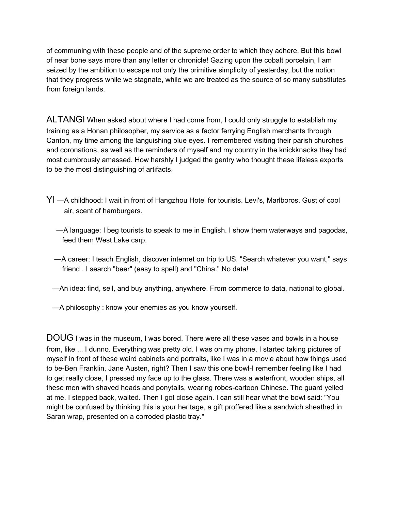of communing with these people and of the supreme order to which they adhere. But this bowl of near bone says more than any letter or chronicle! Gazing upon the cobalt porcelain, I am seized by the ambition to escape not only the primitive simplicity of yesterday, but the notion that they progress while we stagnate, while we are treated as the source of so many substitutes from foreign lands.

ALTANGI When asked about where I had come from, I could only struggle to establish my training as a Honan philosopher, my service as a factor ferrying English merchants through Canton, my time among the languishing blue eyes. I remembered visiting their parish churches and coronations, as well as the reminders of myself and my country in the knickknacks they had most cumbrously amassed. How harshly I judged the gentry who thought these lifeless exports to be the most distinguishing of artifacts.

- YI —A childhood: I wait in front of Hangzhou Hotel for tourists. Levi's, Marlboros. Gust of cool air, scent of hamburgers.
	- —A language: I beg tourists to speak to me in English. I show them waterways and pagodas, feed them West Lake carp.
	- —A career: I teach English, discover internet on trip to US. "Search whatever you want," says friend . I search "beer" (easy to spell) and "China." No data!
	- —An idea: find, sell, and buy anything, anywhere. From commerce to data, national to global.
	- —A philosophy : know your enemies as you know yourself.

DOUG I was in the museum, I was bored. There were all these vases and bowls in a house from, like ... I dunno. Everything was pretty old. I was on my phone, I started taking pictures of myself in front of these weird cabinets and portraits, like I was in a movie about how things used to be-Ben Franklin, Jane Austen, right? Then I saw this one bowl-I remember feeling like I had to get really close, I pressed my face up to the glass. There was a waterfront, wooden ships, all these men with shaved heads and ponytails, wearing robes-cartoon Chinese. The guard yelled at me. I stepped back, waited. Then I got close again. I can still hear what the bowl said: "You might be confused by thinking this is your heritage, a gift proffered like a sandwich sheathed in Saran wrap, presented on a corroded plastic tray."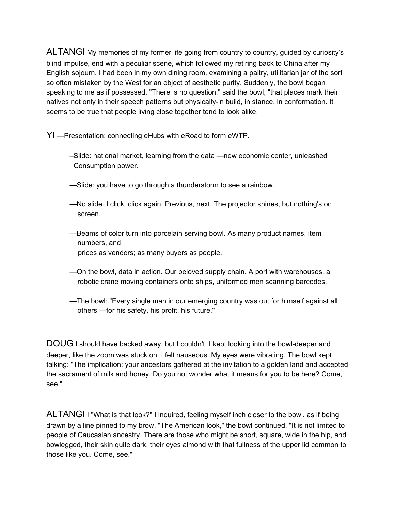ALTANGI My memories of my former life going from country to country, guided by curiosity's blind impulse, end with a peculiar scene, which followed my retiring back to China after my English sojourn. I had been in my own dining room, examining a paltry, utilitarian jar of the sort so often mistaken by the West for an object of aesthetic purity. Suddenly, the bowl began speaking to me as if possessed. "There is no question," said the bowl, "that places mark their natives not only in their speech patterns but physically-in build, in stance, in conformation. It seems to be true that people living close together tend to look alike.

YI —Presentation: connecting eHubs with eRoad to form eWTP.

- –Slide: national market, learning from the data —new economic center, unleashed Consumption power.
- —Slide: you have to go through a thunderstorm to see a rainbow.
- —No slide. I click, click again. Previous, next. The projector shines, but nothing's on screen.
- —Beams of color turn into porcelain serving bowl. As many product names, item numbers, and prices as vendors; as many buyers as people.
- —On the bowl, data in action. Our beloved supply chain. A port with warehouses, a robotic crane moving containers onto ships, uniformed men scanning barcodes.
- —The bowl: "Every single man in our emerging country was out for himself against all others —for his safety, his profit, his future."

DOUG I should have backed away, but I couldn't. I kept looking into the bowl-deeper and deeper, like the zoom was stuck on. I felt nauseous. My eyes were vibrating. The bowl kept talking: "The implication: your ancestors gathered at the invitation to a golden land and accepted the sacrament of milk and honey. Do you not wonder what it means for you to be here? Come, see."

ALTANGI I "What is that look?" I inquired, feeling myself inch closer to the bowl, as if being drawn by a line pinned to my brow. "The American look," the bowl continued. "It is not limited to people of Caucasian ancestry. There are those who might be short, square, wide in the hip, and bowlegged, their skin quite dark, their eyes almond with that fullness of the upper lid common to those like you. Come, see."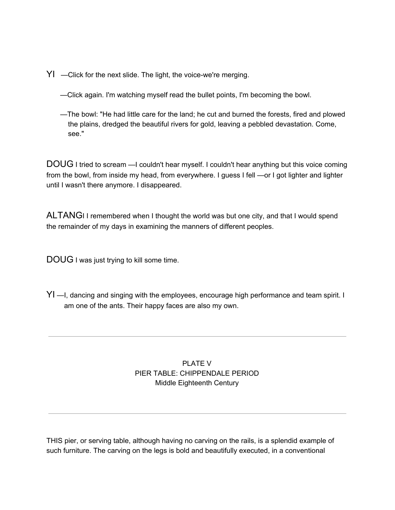- YI —Click for the next slide. The light, the voice-we're merging.
	- —Click again. I'm watching myself read the bullet points, I'm becoming the bowl.
	- —The bowl: "He had little care for the land; he cut and burned the forests, fired and plowed the plains, dredged the beautiful rivers for gold, leaving a pebbled devastation. Come, see."

DOUG I tried to scream —I couldn't hear myself. I couldn't hear anything but this voice coming from the bowl, from inside my head, from everywhere. I guess I fell —or I got lighter and lighter until I wasn't there anymore. I disappeared.

ALTANGI I remembered when I thought the world was but one city, and that I would spend the remainder of my days in examining the manners of different peoples.

DOUG I was just trying to kill some time.

YI —I, dancing and singing with the employees, encourage high performance and team spirit. I am one of the ants. Their happy faces are also my own.

# PLATE V PIER TABLE: CHIPPENDALE PERIOD Middle Eighteenth Century

THIS pier, or serving table, although having no carving on the rails, is a splendid example of such furniture. The carving on the legs is bold and beautifully executed, in a conventional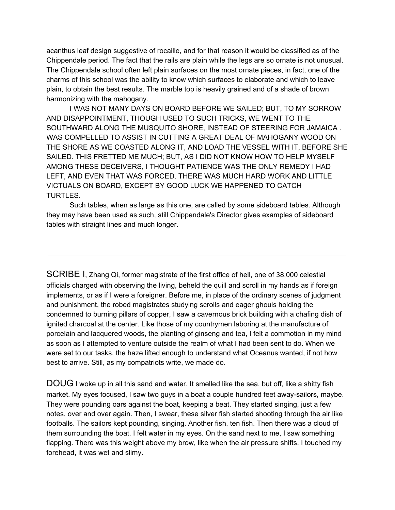acanthus leaf design suggestive of rocaille, and for that reason it would be classified as of the Chippendale period. The fact that the rails are plain while the legs are so ornate is not unusual. The Chippendale school often left plain surfaces on the most ornate pieces, in fact, one of the charms of this school was the ability to know which surfaces to elaborate and which to leave plain, to obtain the best results. The marble top is heavily grained and of a shade of brown harmonizing with the mahogany.

I WAS NOT MANY DAYS ON BOARD BEFORE WE SAILED; BUT, TO MY SORROW AND DISAPPOINTMENT, THOUGH USED TO SUCH TRICKS, WE WENT TO THE SOUTHWARD ALONG THE MUSQUITO SHORE, INSTEAD OF STEERING FOR JAMAICA . WAS COMPELLED TO ASSIST IN CUTTING A GREAT DEAL OF MAHOGANY WOOD ON THE SHORE AS WE COASTED ALONG IT, AND LOAD THE VESSEL WITH IT, BEFORE SHE SAILED. THIS FRETTED ME MUCH; BUT, AS I DID NOT KNOW HOW TO HELP MYSELF AMONG THESE DECEIVERS, I THOUGHT PATIENCE WAS THE ONLY REMEDY I HAD LEFT, AND EVEN THAT WAS FORCED. THERE WAS MUCH HARD WORK AND LITTLE VICTUALS ON BOARD, EXCEPT BY GOOD LUCK WE HAPPENED TO CATCH TURTLES.

Such tables, when as large as this one, are called by some sideboard tables. Although they may have been used as such, still Chippendale's Director gives examples of sideboard tables with straight lines and much longer.

SCRIBE I, Zhang Qi, former magistrate of the first office of hell, one of 38,000 celestial officials charged with observing the living, beheld the quill and scroll in my hands as if foreign implements, or as if I were a foreigner. Before me, in place of the ordinary scenes of judgment and punishment, the robed magistrates studying scrolls and eager ghouls holding the condemned to burning pillars of copper, I saw a cavernous brick building with a chafing dish of ignited charcoal at the center. Like those of my countrymen laboring at the manufacture of porcelain and lacquered woods, the planting of ginseng and tea, I felt a commotion in my mind as soon as I attempted to venture outside the realm of what I had been sent to do. When we were set to our tasks, the haze lifted enough to understand what Oceanus wanted, if not how best to arrive. Still, as my compatriots write, we made do.

DOUG I woke up in all this sand and water. It smelled like the sea, but off, like a shitty fish market. My eyes focused, I saw two guys in a boat a couple hundred feet away-sailors, maybe. They were pounding oars against the boat, keeping a beat. They started singing, just a few notes, over and over again. Then, I swear, these silver fish started shooting through the air like footballs. The sailors kept pounding, singing. Another fish, ten fish. Then there was a cloud of them surrounding the boat. I felt water in my eyes. On the sand next to me, I saw something flapping. There was this weight above my brow, like when the air pressure shifts. I touched my forehead, it was wet and slimy.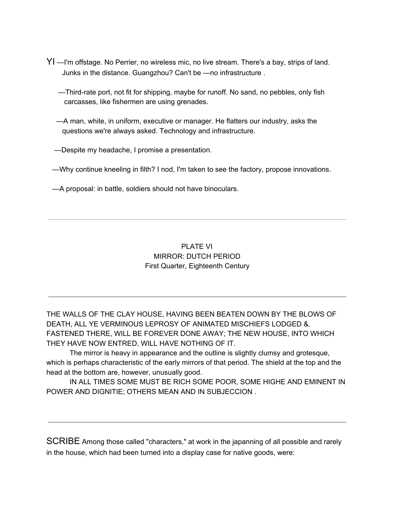- YI —I'm offstage. No Perrier, no wireless mic, no live stream. There's a bay, strips of land. Junks in the distance. Guangzhou? Can't be —no infrastructure .
	- —Third-rate port, not fit for shipping, maybe for runoff. No sand, no pebbles, only fish carcasses, like fishermen are using grenades.
	- —A man, white, in uniform, executive or manager. He flatters our industry, asks the questions we're always asked. Technology and infrastructure.
	- —Despite my headache, I promise a presentation.
	- —Why continue kneeling in filth? I nod, I'm taken to see the factory, propose innovations.
	- —A proposal: in battle, soldiers should not have binoculars.

# PLATE VI MIRROR: DUTCH PERIOD First Quarter, Eighteenth Century

THE WALLS OF THE CLAY HOUSE, HAVING BEEN BEATEN DOWN BY THE BLOWS OF DEATH, ALL YE VERMINOUS LEPROSY OF ANIMATED MISCHIEFS LODGED &. FASTENED THERE, WILL BE FOREVER DONE AWAY; THE NEW HOUSE, INTO WHICH THEY HAVE NOW ENTRED, WILL HAVE NOTHING OF IT.

The mirror is heavy in appearance and the outline is slightly clumsy and grotesque, which is perhaps characteristic of the early mirrors of that period. The shield at the top and the head at the bottom are, however, unusually good.

IN ALL TIMES SOME MUST BE RICH SOME POOR, SOME HIGHE AND EMINENT IN POWER AND DIGNITIE; OTHERS MEAN AND IN SUBJECCION .

SCRIBE Among those called "characters," at work in the japanning of all possible and rarely in the house, which had been turned into a display case for native goods, were: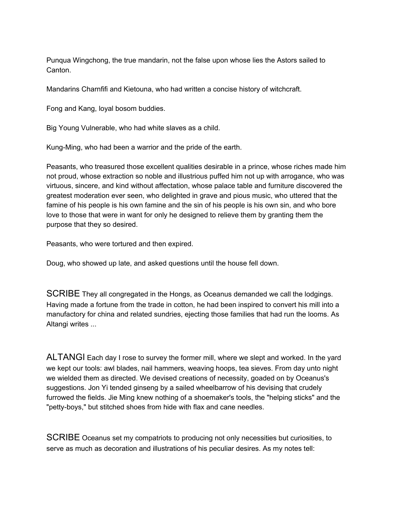Punqua Wingchong, the true mandarin, not the false upon whose lies the Astors sailed to Canton.

Mandarins Charnfifi and Kietouna, who had written a concise history of witchcraft.

Fong and Kang, loyal bosom buddies.

Big Young Vulnerable, who had white slaves as a child.

Kung-Ming, who had been a warrior and the pride of the earth.

Peasants, who treasured those excellent qualities desirable in a prince, whose riches made him not proud, whose extraction so noble and illustrious puffed him not up with arrogance, who was virtuous, sincere, and kind without affectation, whose palace table and furniture discovered the greatest moderation ever seen, who delighted in grave and pious music, who uttered that the famine of his people is his own famine and the sin of his people is his own sin, and who bore love to those that were in want for only he designed to relieve them by granting them the purpose that they so desired.

Peasants, who were tortured and then expired.

Doug, who showed up late, and asked questions until the house fell down.

SCRIBE They all congregated in the Hongs, as Oceanus demanded we call the lodgings. Having made a fortune from the trade in cotton, he had been inspired to convert his mill into a manufactory for china and related sundries, ejecting those families that had run the looms. As Altangi writes ...

ALTANGI Each day I rose to survey the former mill, where we slept and worked. In the yard we kept our tools: awl blades, nail hammers, weaving hoops, tea sieves. From day unto night we wielded them as directed. We devised creations of necessity, goaded on by Oceanus's suggestions. Jon Yi tended ginseng by a sailed wheelbarrow of his devising that crudely furrowed the fields. Jie Ming knew nothing of a shoemaker's tools, the "helping sticks" and the "petty-boys," but stitched shoes from hide with flax and cane needles.

SCRIBE Oceanus set my compatriots to producing not only necessities but curiosities, to serve as much as decoration and illustrations of his peculiar desires. As my notes tell: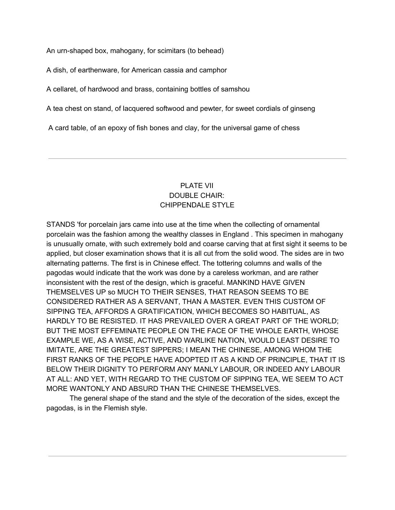An urn-shaped box, mahogany, for scimitars (to behead)

A dish, of earthenware, for American cassia and camphor

A cellaret, of hardwood and brass, containing bottles of samshou

A tea chest on stand, of lacquered softwood and pewter, for sweet cordials of ginseng

A card table, of an epoxy of fish bones and clay, for the universal game of chess

# PLATE VII DOUBLE CHAIR: CHIPPENDALE STYLE

STANDS 'for porcelain jars came into use at the time when the collecting of ornamental porcelain was the fashion among the wealthy classes in England . This specimen in mahogany is unusually ornate, with such extremely bold and coarse carving that at first sight it seems to be applied, but closer examination shows that it is all cut from the solid wood. The sides are in two alternating patterns. The first is in Chinese effect. The tottering columns and walls of the pagodas would indicate that the work was done by a careless workman, and are rather inconsistent with the rest of the design, which is graceful. MANKIND HAVE GIVEN THEMSELVES UP so MUCH TO THEIR SENSES, THAT REASON SEEMS TO BE CONSIDERED RATHER AS A SERVANT, THAN A MASTER. EVEN THIS CUSTOM OF SIPPING TEA, AFFORDS A GRATIFICATION, WHICH BECOMES SO HABITUAL, AS HARDLY TO BE RESISTED. IT HAS PREVAILED OVER A GREAT PART OF THE WORLD; BUT THE MOST EFFEMINATE PEOPLE ON THE FACE OF THE WHOLE EARTH, WHOSE EXAMPLE WE, AS A WISE, ACTIVE, AND WARLIKE NATION, WOULD LEAST DESIRE TO IMITATE, ARE THE GREATEST SIPPERS; I MEAN THE CHINESE, AMONG WHOM THE FIRST RANKS OF THE PEOPLE HAVE ADOPTED IT AS A KIND OF PRINCIPLE, THAT IT IS BELOW THEIR DIGNITY TO PERFORM ANY MANLY LABOUR, OR INDEED ANY LABOUR AT ALL: AND YET, WITH REGARD TO THE CUSTOM OF SIPPING TEA, WE SEEM TO ACT MORE WANTONLY AND ABSURD THAN THE CHINESE THEMSELVES.

The general shape of the stand and the style of the decoration of the sides, except the pagodas, is in the Flemish style.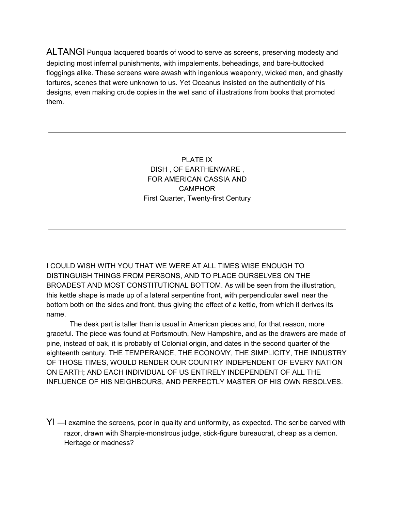ALTANGI Punqua lacquered boards of wood to serve as screens, preserving modesty and depicting most infernal punishments, with impalements, beheadings, and bare-buttocked floggings alike. These screens were awash with ingenious weaponry, wicked men, and ghastly tortures, scenes that were unknown to us. Yet Oceanus insisted on the authenticity of his designs, even making crude copies in the wet sand of illustrations from books that promoted them.

> PLATE IX DISH , OF EARTHENWARE , FOR AMERICAN CASSIA AND **CAMPHOR** First Quarter, Twenty-first Century

I COULD WISH WITH YOU THAT WE WERE AT ALL TIMES WISE ENOUGH TO DISTINGUISH THINGS FROM PERSONS, AND TO PLACE OURSELVES ON THE BROADEST AND MOST CONSTITUTIONAL BOTTOM. As will be seen from the illustration, this kettle shape is made up of a lateral serpentine front, with perpendicular swell near the bottom both on the sides and front, thus giving the effect of a kettle, from which it derives its name.

The desk part is taller than is usual in American pieces and, for that reason, more graceful. The piece was found at Portsmouth, New Hampshire, and as the drawers are made of pine, instead of oak, it is probably of Colonial origin, and dates in the second quarter of the eighteenth century. THE TEMPERANCE, THE ECONOMY, THE SIMPLICITY, THE INDUSTRY OF THOSE TIMES, WOULD RENDER OUR COUNTRY INDEPENDENT OF EVERY NATION ON EARTH; AND EACH INDIVIDUAL OF US ENTIRELY INDEPENDENT OF ALL THE INFLUENCE OF HIS NEIGHBOURS, AND PERFECTLY MASTER OF HIS OWN RESOLVES.

YI —I examine the screens, poor in quality and uniformity, as expected. The scribe carved with razor, drawn with Sharpie-monstrous judge, stick-figure bureaucrat, cheap as a demon. Heritage or madness?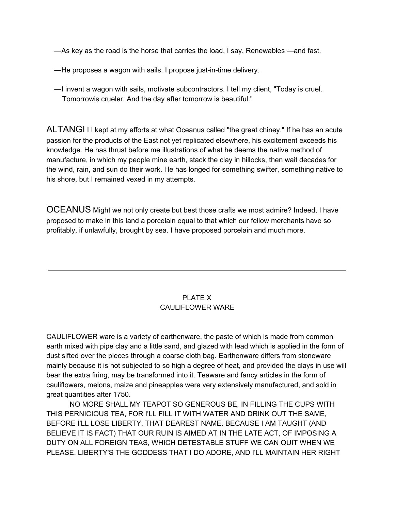—As key as the road is the horse that carries the load, I say. Renewables —and fast.

—He proposes a wagon with sails. I propose just-in-time delivery.

—I invent a wagon with sails, motivate subcontractors. I tell my client, "Today is cruel. Tomorrowis crueler. And the day after tomorrow is beautiful."

ALTANGI I I kept at my efforts at what Oceanus called "the great chiney." If he has an acute passion for the products of the East not yet replicated elsewhere, his excitement exceeds his knowledge. He has thrust before me illustrations of what he deems the native method of manufacture, in which my people mine earth, stack the clay in hillocks, then wait decades for the wind, rain, and sun do their work. He has longed for something swifter, something native to his shore, but I remained vexed in my attempts.

OCEANUS Might we not only create but best those crafts we most admire? Indeed, I have proposed to make in this land a porcelain equal to that which our fellow merchants have so profitably, if unlawfully, brought by sea. I have proposed porcelain and much more.

# PLATE X CAULIFLOWER WARE

CAULIFLOWER ware is a variety of earthenware, the paste of which is made from common earth mixed with pipe clay and a little sand, and glazed with lead which is applied in the form of dust sifted over the pieces through a coarse cloth bag. Earthenware differs from stoneware mainly because it is not subjected to so high a degree of heat, and provided the clays in use will bear the extra firing, may be transformed into it. Teaware and fancy articles in the form of cauliflowers, melons, maize and pineapples were very extensively manufactured, and sold in great quantities after 1750.

NO MORE SHALL MY TEAPOT SO GENEROUS BE, IN FILLING THE CUPS WITH THIS PERNICIOUS TEA, FOR I'LL FILL IT WITH WATER AND DRINK OUT THE SAME, BEFORE I'LL LOSE LIBERTY, THAT DEAREST NAME. BECAUSE I AM TAUGHT (AND BELIEVE IT IS FACT) THAT OUR RUIN IS AIMED AT IN THE LATE ACT, OF IMPOSING A DUTY ON ALL FOREIGN TEAS, WHICH DETESTABLE STUFF WE CAN QUIT WHEN WE PLEASE. LIBERTY'S THE GODDESS THAT I DO ADORE, AND I'LL MAINTAIN HER RIGHT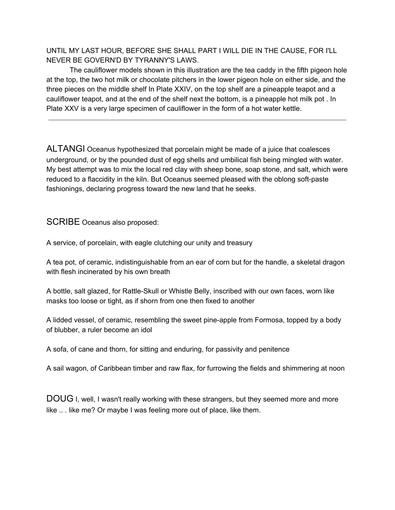UNTIL MY LAST HOUR, BEFORE SHE SHALL PART I WILL DIE IN THE CAUSE, FOR I'LL NEVER BE GOVERN'D BY TYRANNY'S LAWS.

The cauliflower models shown in this illustration are the tea caddy in the fifth pigeon hole at the top, the two hot milk or chocolate pitchers in the lower pigeon hole on either side, and the three pieces on the middle shelf In Plate XXIV, on the top shelf are a pineapple teapot and a cauliflower teapot, and at the end of the shelf next the bottom, is a pineapple hot milk pot . In Plate XXV is a very large specimen of cauliflower in the form of a hot water kettle.

ALTANGI Oceanus hypothesized that porcelain might be made of a juice that coalesces underground, or by the pounded dust of egg shells and umbilical fish being mingled with water. My best attempt was to mix the local red clay with sheep bone, soap stone, and salt, which were reduced to a flaccidity in the kiln. But Oceanus seemed pleased with the oblong soft-paste fashionings, declaring progress toward the new land that he seeks.

SCRIBE Oceanus also proposed:

A service, of porcelain, with eagle clutching our unity and treasury

A tea pot, of ceramic, indistinguishable from an ear of corn but for the handle, a skeletal dragon with flesh incinerated by his own breath

A bottle, salt glazed, for Rattle-Skull or Whistle Belly, inscribed with our own faces, worn like masks too loose or tight, as if shorn from one then fixed to another

A lidded vessel, of ceramic, resembling the sweet pine-apple from Formosa, topped by a body of blubber, a ruler become an idol

A sofa, of cane and thorn, for sitting and enduring, for passivity and penitence

A sail wagon, of Caribbean timber and raw flax, for furrowing the fields and shimmering at noon

DOUG I, well, I wasn't really working with these strangers, but they seemed more and more like .. . like me? Or maybe I was feeling more out of place, like them.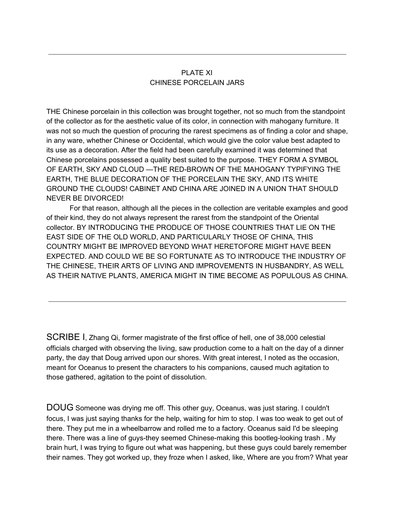## PLATE XI CHINESE PORCELAIN JARS

THE Chinese porcelain in this collection was brought together, not so much from the standpoint of the collector as for the aesthetic value of its color, in connection with mahogany furniture. It was not so much the question of procuring the rarest specimens as of finding a color and shape, in any ware, whether Chinese or Occidental, which would give the color value best adapted to its use as a decoration. After the field had been carefully examined it was determined that Chinese porcelains possessed a quality best suited to the purpose. THEY FORM A SYMBOL OF EARTH, SKY AND CLOUD —THE RED-BROWN OF THE MAHOGANY TYPIFYING THE EARTH, THE BLUE DECORATION OF THE PORCELAIN THE SKY, AND ITS WHITE GROUND THE CLOUDS! CABINET AND CHINA ARE JOINED IN A UNION THAT SHOULD NEVER BE DIVORCED!

For that reason, although all the pieces in the collection are veritable examples and good of their kind, they do not always represent the rarest from the standpoint of the Oriental collector. BY INTRODUCING THE PRODUCE OF THOSE COUNTRIES THAT LIE ON THE EAST SIDE OF THE OLD WORLD, AND PARTICULARLY THOSE OF CHINA, THIS COUNTRY MIGHT BE IMPROVED BEYOND WHAT HERETOFORE MIGHT HAVE BEEN EXPECTED. AND COULD WE BE SO FORTUNATE AS TO INTRODUCE THE INDUSTRY OF THE CHINESE, THEIR ARTS OF LIVING AND IMPROVEMENTS IN HUSBANDRY, AS WELL AS THEIR NATIVE PLANTS, AMERICA MIGHT IN TIME BECOME AS POPULOUS AS CHINA.

SCRIBE I, Zhang Qi, former magistrate of the first office of hell, one of 38,000 celestial officials charged with observing the living, saw production come to a halt on the day of a dinner party, the day that Doug arrived upon our shores. With great interest, I noted as the occasion, meant for Oceanus to present the characters to his companions, caused much agitation to those gathered, agitation to the point of dissolution.

DOUG Someone was drying me off. This other guy, Oceanus, was just staring. I couldn't focus, I was just saying thanks for the help, waiting for him to stop. I was too weak to get out of there. They put me in a wheelbarrow and rolled me to a factory. Oceanus said I'd be sleeping there. There was a line of guys-they seemed Chinese-making this bootleg-looking trash . My brain hurt, I was trying to figure out what was happening, but these guys could barely remember their names. They got worked up, they froze when I asked, like, Where are you from? What year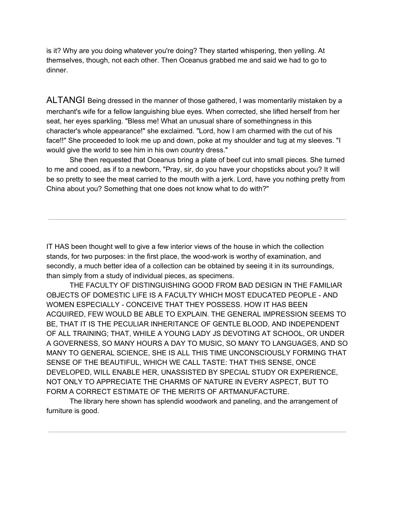is it? Why are you doing whatever you're doing? They started whispering, then yelling. At themselves, though, not each other. Then Oceanus grabbed me and said we had to go to dinner.

ALTANGI Being dressed in the manner of those gathered, I was momentarily mistaken by a merchant's wife for a fellow languishing blue eyes. When corrected, she lifted herself from her seat, her eyes sparkling. "Bless me! What an unusual share of somethingness in this character's whole appearance!" she exclaimed. "Lord, how I am charmed with the cut of his face!!" She proceeded to look me up and down, poke at my shoulder and tug at my sleeves. "I would give the world to see him in his own country dress."

She then requested that Oceanus bring a plate of beef cut into small pieces. She turned to me and cooed, as if to a newborn, "Pray, sir, do you have your chopsticks about you? It will be so pretty to see the meat carried to the mouth with a jerk. Lord, have you nothing pretty from China about you? Something that one does not know what to do with?"

IT HAS been thought well to give a few interior views of the house in which the collection stands, for two purposes: in the first place, the wood-work is worthy of examination, and secondly, a much better idea of a collection can be obtained by seeing it in its surroundings, than simply from a study of individual pieces, as specimens.

THE FACULTY OF DISTINGUISHING GOOD FROM BAD DESIGN IN THE FAMILIAR OBJECTS OF DOMESTIC LIFE IS A FACULTY WHICH MOST EDUCATED PEOPLE - AND WOMEN ESPECIALLY - CONCEIVE THAT THEY POSSESS. HOW IT HAS BEEN ACQUIRED, FEW WOULD BE ABLE TO EXPLAIN. THE GENERAL IMPRESSION SEEMS TO BE, THAT IT IS THE PECULIAR INHERITANCE OF GENTLE BLOOD, AND INDEPENDENT OF ALL TRAINING; THAT, WHILE A YOUNG LADY JS DEVOTING AT SCHOOL, OR UNDER A GOVERNESS, SO MANY HOURS A DAY TO MUSIC, SO MANY TO LANGUAGES, AND SO MANY TO GENERAL SCIENCE, SHE IS ALL THIS TIME UNCONSCIOUSLY FORMING THAT SENSE OF THE BEAUTIFUL, WHICH WE CALL TASTE: THAT THIS SENSE, ONCE DEVELOPED, WILL ENABLE HER, UNASSISTED BY SPECIAL STUDY OR EXPERIENCE, NOT ONLY TO APPRECIATE THE CHARMS OF NATURE IN EVERY ASPECT, BUT TO FORM A CORRECT ESTIMATE OF THE MERITS OF ARTMANUFACTURE.

The library here shown has splendid woodwork and paneling, and the arrangement of furniture is good.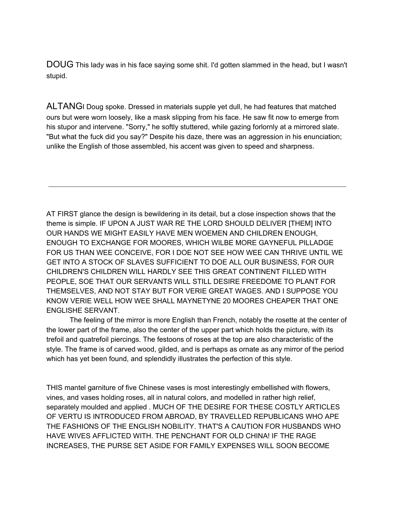DOUG This lady was in his face saying some shit. I'd gotten slammed in the head, but I wasn't stupid.

ALTANGI Doug spoke. Dressed in materials supple yet dull, he had features that matched ours but were worn loosely, like a mask slipping from his face. He saw fit now to emerge from his stupor and intervene. "Sorry," he softly stuttered, while gazing forlornly at a mirrored slate. "But what the fuck did you say?" Despite his daze, there was an aggression in his enunciation; unlike the English of those assembled, his accent was given to speed and sharpness.

AT FIRST glance the design is bewildering in its detail, but a close inspection shows that the theme is simple. IF UPON A JUST WAR RE THE LORD SHOULD DELIVER [THEM] INTO OUR HANDS WE MIGHT EASILY HAVE MEN WOEMEN AND CHILDREN ENOUGH, ENOUGH TO EXCHANGE FOR MOORES, WHICH WILBE MORE GAYNEFUL PILLADGE FOR US THAN WEE CONCEIVE, FOR I DOE NOT SEE HOW WEE CAN THRIVE UNTIL WE GET INTO A STOCK OF SLAVES SUFFICIENT TO DOE ALL OUR BUSINESS, FOR OUR CHILDREN'S CHILDREN WILL HARDLY SEE THIS GREAT CONTINENT FILLED WITH PEOPLE, SOE THAT OUR SERVANTS WILL STILL DESIRE FREEDOME TO PLANT FOR THEMSELVES, AND NOT STAY BUT FOR VERIE GREAT WAGES. AND I SUPPOSE YOU KNOW VERIE WELL HOW WEE SHALL MAYNETYNE 20 MOORES CHEAPER THAT ONE ENGLISHE SERVANT.

The feeling of the mirror is more English than French, notably the rosette at the center of the lower part of the frame, also the center of the upper part which holds the picture, with its trefoil and quatrefoil piercings. The festoons of roses at the top are also characteristic of the style. The frame is of carved wood, gilded, and is perhaps as ornate as any mirror of the period which has yet been found, and splendidly illustrates the perfection of this style.

THIS mantel garniture of five Chinese vases is most interestingly embellished with flowers, vines, and vases holding roses, all in natural colors, and modelled in rather high relief, separately moulded and applied . MUCH OF THE DESIRE FOR THESE COSTLY ARTICLES OF VERTU IS INTRODUCED FROM ABROAD, BY TRAVELLED REPUBLICANS WHO APE THE FASHIONS OF THE ENGLISH NOBILITY. THAT'S A CAUTION FOR HUSBANDS WHO HAVE WIVES AFFLICTED WITH. THE PENCHANT FOR OLD CHINA! IF THE RAGE INCREASES, THE PURSE SET ASIDE FOR FAMILY EXPENSES WILL SOON BECOME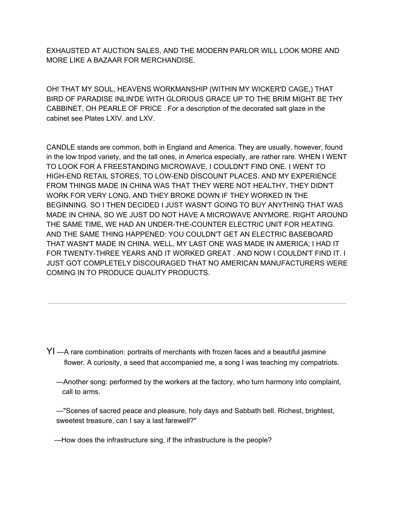EXHAUSTED AT AUCTION SALES, AND THE MODERN PARLOR WILL LOOK MORE AND MORE LIKE A BAZAAR FOR MERCHANDISE.

OH! THAT MY SOUL, HEAVENS WORKMANSHIP (WITHIN MY WICKER'D CAGE,) THAT BIRD OF PARADISE INLIN'DE WITH GLORIOUS GRACE UP TO THE BRIM MIGHT BE THY CABBINET, OH PEARLE OF PRICE . For a description of the decorated salt glaze in the cabinet see Plates LXIV. and LXV.

CANDLE stands are common, both in England and America. They are usually, however, found in the low tripod variety, and the tall ones, in America especially, are rather rare. WHEN I WENT TO LOOK FOR A FREESTANDING MICROWAVE, I COULDN'T FIND ONE. I WENT TO HIGH-END RETAIL STORES, TO LOW-END DISCOUNT PLACES. AND MY EXPERIENCE FROM THINGS MADE IN CHINA WAS THAT THEY WERE NOT HEALTHY, THEY DIDN'T WORK FOR VERY LONG, AND THEY BROKE DOWN IF THEY WORKED IN THE BEGINNING. SO I THEN DECIDED I JUST WASN'T GOING TO BUY ANYTHING THAT WAS MADE IN CHINA, SO WE JUST DO NOT HAVE A MICROWAVE ANYMORE. RIGHT AROUND THE SAME TIME, WE HAD AN UNDER-THE-COUNTER ELECTRIC UNIT FOR HEATING. AND THE SAME THING HAPPENED: YOU COULDN'T GET AN ELECTRIC BASEBOARD THAT WASN'T MADE IN CHINA. WELL, MY LAST ONE WAS MADE IN AMERICA; I HAD IT FOR TWENTY-THREE YEARS AND IT WORKED GREAT . AND NOW I COULDN'T FIND IT. I JUST GOT COMPLETELY DISCOURAGED THAT NO AMERICAN MANUFACTURERS WERE COMING IN TO PRODUCE QUALITY PRODUCTS.

- YI —A rare combination: portraits of merchants with frozen faces and a beautiful jasmine flower. A curiosity, a seed that accompanied me, a song I was teaching my compatriots.
	- —Another song: performed by the workers at the factory, who turn harmony into complaint, call to arms.

—"Scenes of sacred peace and pleasure, holy days and Sabbath bell. Richest, brightest, sweetest treasure, can I say a last farewell?"

—How does the infrastructure sing, if the infrastructure is the people?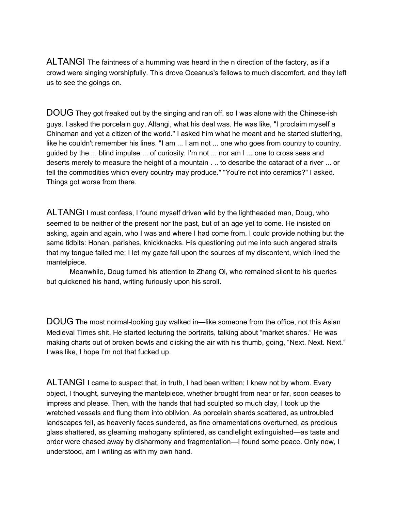ALTANGI The faintness of a humming was heard in the n direction of the factory, as if a crowd were singing worshipfully. This drove Oceanus's fellows to much discomfort, and they left us to see the goings on.

DOUG They got freaked out by the singing and ran off, so I was alone with the Chinese-ish guys. I asked the porcelain guy, Altangi, what his deal was. He was like, "I proclaim myself a Chinaman and yet a citizen of the world." I asked him what he meant and he started stuttering, like he couldn't remember his lines. "I am ... I am not ... one who goes from country to country, guided by the ... blind impulse ... of curiosity. I'm not ... nor am I ... one to cross seas and deserts merely to measure the height of a mountain . .. to describe the cataract of a river ... or tell the commodities which every country may produce." "You're not into ceramics?" I asked. Things got worse from there.

ALTANGI I must confess, I found myself driven wild by the lightheaded man, Doug, who seemed to be neither of the present nor the past, but of an age yet to come. He insisted on asking, again and again, who I was and where I had come from. I could provide nothing but the same tidbits: Honan, parishes, knickknacks. His questioning put me into such angered straits that my tongue failed me; I let my gaze fall upon the sources of my discontent, which lined the mantelpiece.

Meanwhile, Doug turned his attention to Zhang Qi, who remained silent to his queries but quickened his hand, writing furiously upon his scroll.

DOUG The most normal-looking guy walked in—like someone from the office, not this Asian Medieval Times shit. He started lecturing the portraits, talking about "market shares." He was making charts out of broken bowls and clicking the air with his thumb, going, "Next. Next. Next." I was like, I hope I'm not that fucked up.

ALTANGI I came to suspect that, in truth, I had been written; I knew not by whom. Every object, I thought, surveying the mantelpiece, whether brought from near or far, soon ceases to impress and please. Then, with the hands that had sculpted so much clay, I took up the wretched vessels and flung them into oblivion. As porcelain shards scattered, as untroubled landscapes fell, as heavenly faces sundered, as fine ornamentations overturned, as precious glass shattered, as gleaming mahogany splintered, as candlelight extinguished—as taste and order were chased away by disharmony and fragmentation—I found some peace. Only now, I understood, am I writing as with my own hand.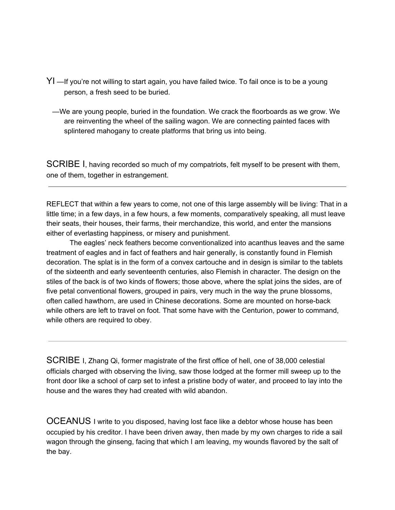- YI —If you're not willing to start again, you have failed twice. To fail once is to be a young person, a fresh seed to be buried.
	- —We are young people, buried in the foundation. We crack the floorboards as we grow. We are reinventing the wheel of the sailing wagon. We are connecting painted faces with splintered mahogany to create platforms that bring us into being.

SCRIBE I, having recorded so much of my compatriots, felt myself to be present with them, one of them, together in estrangement.

REFLECT that within a few years to come, not one of this large assembly will be living: That in a little time; in a few days, in a few hours, a few moments, comparatively speaking, all must leave their seats, their houses, their farms, their merchandize, this world, and enter the mansions either of everlasting happiness, or misery and punishment.

The eagles' neck feathers become conventionalized into acanthus leaves and the same treatment of eagles and in fact of feathers and hair generally, is constantly found in Flemish decoration. The splat is in the form of a convex cartouche and in design is similar to the tablets of the sixteenth and early seventeenth centuries, also Flemish in character. The design on the stiles of the back is of two kinds of flowers; those above, where the splat joins the sides, are of five petal conventional flowers, grouped in pairs, very much in the way the prune blossoms, often called hawthorn, are used in Chinese decorations. Some are mounted on horse-back while others are left to travel on foot. That some have with the Centurion, power to command, while others are required to obey.

SCRIBE I, Zhang Qi, former magistrate of the first office of hell, one of 38,000 celestial officials charged with observing the living, saw those lodged at the former mill sweep up to the front door like a school of carp set to infest a pristine body of water, and proceed to lay into the house and the wares they had created with wild abandon.

OCEANUS I write to you disposed, having lost face like a debtor whose house has been occupied by his creditor. I have been driven away, then made by my own charges to ride a sail wagon through the ginseng, facing that which I am leaving, my wounds flavored by the salt of the bay.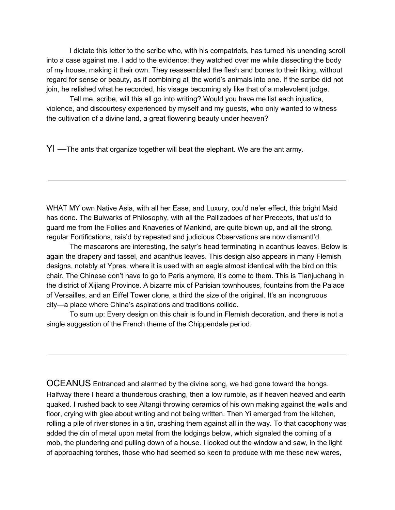I dictate this letter to the scribe who, with his compatriots, has turned his unending scroll into a case against me. I add to the evidence: they watched over me while dissecting the body of my house, making it their own. They reassembled the flesh and bones to their liking, without regard for sense or beauty, as if combining all the world's animals into one. If the scribe did not join, he relished what he recorded, his visage becoming sly like that of a malevolent judge.

Tell me, scribe, will this all go into writing? Would you have me list each injustice, violence, and discourtesy experienced by myself and my guests, who only wanted to witness the cultivation of a divine land, a great flowering beauty under heaven?

YI —The ants that organize together will beat the elephant. We are the ant army.

WHAT MY own Native Asia, with all her Ease, and Luxury, cou'd ne'er effect, this bright Maid has done. The Bulwarks of Philosophy, with all the Pallizadoes of her Precepts, that us'd to guard me from the Follies and Knaveries of Mankind, are quite blown up, and all the strong, regular Fortifications, rais'd by repeated and judicious Observations are now dismantl'd.

The mascarons are interesting, the satyr's head terminating in acanthus leaves. Below is again the drapery and tassel, and acanthus leaves. This design also appears in many Flemish designs, notably at Ypres, where it is used with an eagle almost identical with the bird on this chair. The Chinese don't have to go to Paris anymore, it's come to them. This is Tianjuchang in the district of Xijiang Province. A bizarre mix of Parisian townhouses, fountains from the Palace of Versailles, and an Eiffel Tower clone, a third the size of the original. It's an incongruous city—a place where China's aspirations and traditions collide.

To sum up: Every design on this chair is found in Flemish decoration, and there is not a single suggestion of the French theme of the Chippendale period.

OCEANUS Entranced and alarmed by the divine song, we had gone toward the hongs. Halfway there I heard a thunderous crashing, then a low rumble, as if heaven heaved and earth quaked. I rushed back to see Altangi throwing ceramics of his own making against the walls and floor, crying with glee about writing and not being written. Then Yi emerged from the kitchen, rolling a pile of river stones in a tin, crashing them against all in the way. To that cacophony was added the din of metal upon metal from the lodgings below, which signaled the coming of a mob, the plundering and pulling down of a house. I looked out the window and saw, in the light of approaching torches, those who had seemed so keen to produce with me these new wares,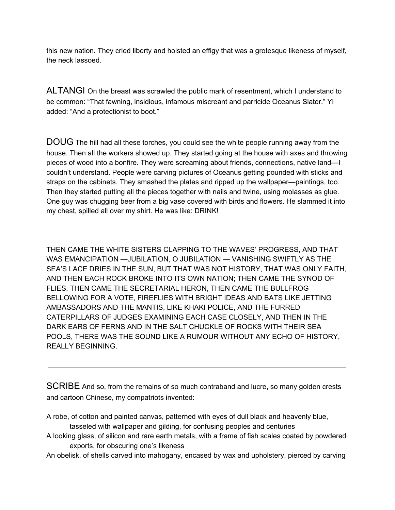this new nation. They cried liberty and hoisted an effigy that was a grotesque likeness of myself, the neck lassoed.

ALTANGI On the breast was scrawled the public mark of resentment, which I understand to be common: "That fawning, insidious, infamous miscreant and parricide Oceanus Slater." Yi added: "And a protectionist to boot."

DOUG The hill had all these torches, you could see the white people running away from the house. Then all the workers showed up. They started going at the house with axes and throwing pieces of wood into a bonfire. They were screaming about friends, connections, native land—I couldn't understand. People were carving pictures of Oceanus getting pounded with sticks and straps on the cabinets. They smashed the plates and ripped up the wallpaper—paintings, too. Then they started putting all the pieces together with nails and twine, using molasses as glue. One guy was chugging beer from a big vase covered with birds and flowers. He slammed it into my chest, spilled all over my shirt. He was like: DRINK!

THEN CAME THE WHITE SISTERS CLAPPING TO THE WAVES' PROGRESS, AND THAT WAS EMANCIPATION —JUBILATION, O JUBILATION — VANISHING SWIFTLY AS THE SEA'S LACE DRIES IN THE SUN, BUT THAT WAS NOT HISTORY, THAT WAS ONLY FAITH, AND THEN EACH ROCK BROKE INTO ITS OWN NATION; THEN CAME THE SYNOD OF FLIES, THEN CAME THE SECRETARIAL HERON, THEN CAME THE BULLFROG BELLOWING FOR A VOTE, FIREFLIES WITH BRIGHT IDEAS AND BATS LIKE JETTING AMBASSADORS AND THE MANTIS, LIKE KHAKI POLICE, AND THE FURRED CATERPILLARS OF JUDGES EXAMINING EACH CASE CLOSELY, AND THEN IN THE DARK EARS OF FERNS AND IN THE SALT CHUCKLE OF ROCKS WITH THEIR SEA POOLS, THERE WAS THE SOUND LIKE A RUMOUR WITHOUT ANY ECHO OF HISTORY, REALLY BEGINNING.

SCRIBE And so, from the remains of so much contraband and lucre, so many golden crests and cartoon Chinese, my compatriots invented:

- A robe, of cotton and painted canvas, patterned with eyes of dull black and heavenly blue, tasseled with wallpaper and gilding, for confusing peoples and centuries
- A looking glass, of silicon and rare earth metals, with a frame of fish scales coated by powdered exports, for obscuring one's likeness
- An obelisk, of shells carved into mahogany, encased by wax and upholstery, pierced by carving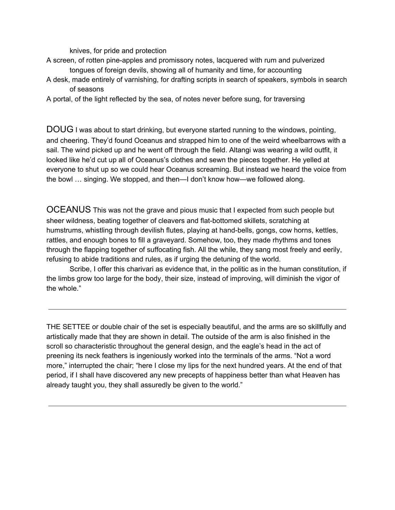knives, for pride and protection

- A screen, of rotten pine-apples and promissory notes, lacquered with rum and pulverized tongues of foreign devils, showing all of humanity and time, for accounting
- A desk, made entirely of varnishing, for drafting scripts in search of speakers, symbols in search of seasons
- A portal, of the light reflected by the sea, of notes never before sung, for traversing

DOUG I was about to start drinking, but everyone started running to the windows, pointing, and cheering. They'd found Oceanus and strapped him to one of the weird wheelbarrows with a sail. The wind picked up and he went off through the field. Altangi was wearing a wild outfit, it looked like he'd cut up all of Oceanus's clothes and sewn the pieces together. He yelled at everyone to shut up so we could hear Oceanus screaming. But instead we heard the voice from the bowl … singing. We stopped, and then—I don't know how—we followed along.

OCEANUS This was not the grave and pious music that I expected from such people but sheer wildness, beating together of cleavers and flat-bottomed skillets, scratching at humstrums, whistling through devilish flutes, playing at hand-bells, gongs, cow horns, kettles, rattles, and enough bones to fill a graveyard. Somehow, too, they made rhythms and tones through the flapping together of suffocating fish. All the while, they sang most freely and eerily, refusing to abide traditions and rules, as if urging the detuning of the world.

Scribe, I offer this charivari as evidence that, in the politic as in the human constitution, if the limbs grow too large for the body, their size, instead of improving, will diminish the vigor of the whole."

THE SETTEE or double chair of the set is especially beautiful, and the arms are so skillfully and artistically made that they are shown in detail. The outside of the arm is also finished in the scroll so characteristic throughout the general design, and the eagle's head in the act of preening its neck feathers is ingeniously worked into the terminals of the arms. "Not a word more," interrupted the chair; "here I close my lips for the next hundred years. At the end of that period, if I shall have discovered any new precepts of happiness better than what Heaven has already taught you, they shall assuredly be given to the world."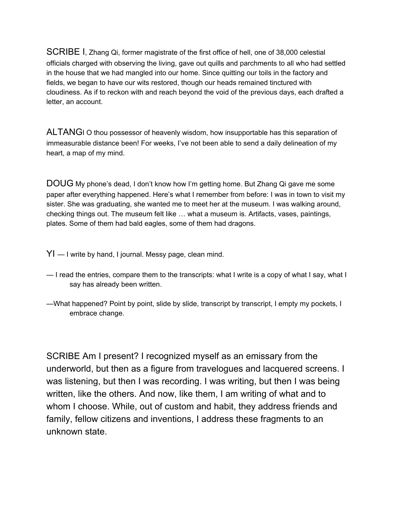SCRIBE I, Zhang Qi, former magistrate of the first office of hell, one of 38,000 celestial officials charged with observing the living, gave out quills and parchments to all who had settled in the house that we had mangled into our home. Since quitting our toils in the factory and fields, we began to have our wits restored, though our heads remained tinctured with cloudiness. As if to reckon with and reach beyond the void of the previous days, each drafted a letter, an account.

ALTANGI O thou possessor of heavenly wisdom, how insupportable has this separation of immeasurable distance been! For weeks, I've not been able to send a daily delineation of my heart, a map of my mind.

DOUG My phone's dead, I don't know how I'm getting home. But Zhang Qi gave me some paper after everything happened. Here's what I remember from before: I was in town to visit my sister. She was graduating, she wanted me to meet her at the museum. I was walking around, checking things out. The museum felt like … what a museum is. Artifacts, vases, paintings, plates. Some of them had bald eagles, some of them had dragons.

- $YI I$  write by hand, I journal. Messy page, clean mind.
- I read the entries, compare them to the transcripts: what I write is a copy of what I say, what I say has already been written.
- —What happened? Point by point, slide by slide, transcript by transcript, I empty my pockets, I embrace change.

SCRIBE Am I present? I recognized myself as an emissary from the underworld, but then as a figure from travelogues and lacquered screens. I was listening, but then I was recording. I was writing, but then I was being written, like the others. And now, like them, I am writing of what and to whom I choose. While, out of custom and habit, they address friends and family, fellow citizens and inventions, I address these fragments to an unknown state.